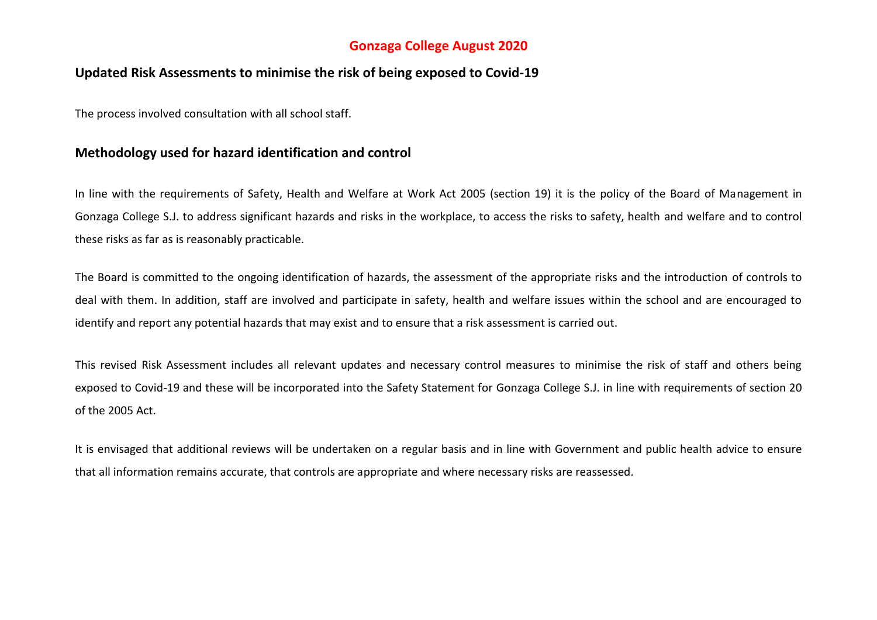# **Gonzaga College August 2020**

## **Updated Risk Assessments to minimise the risk of being exposed to Covid-19**

The process involved consultation with all school staff.

## **Methodology used for hazard identification and control**

In line with the requirements of Safety, Health and Welfare at Work Act 2005 (section 19) it is the policy of the Board of Management in Gonzaga College S.J. to address significant hazards and risks in the workplace, to access the risks to safety, health and welfare and to control these risks as far as is reasonably practicable.

The Board is committed to the ongoing identification of hazards, the assessment of the appropriate risks and the introduction of controls to deal with them. In addition, staff are involved and participate in safety, health and welfare issues within the school and are encouraged to identify and report any potential hazards that may exist and to ensure that a risk assessment is carried out.

This revised Risk Assessment includes all relevant updates and necessary control measures to minimise the risk of staff and others being exposed to Covid-19 and these will be incorporated into the Safety Statement for Gonzaga College S.J. in line with requirements of section 20 of the 2005 Act.

It is envisaged that additional reviews will be undertaken on a regular basis and in line with Government and public health advice to ensure that all information remains accurate, that controls are appropriate and where necessary risks are reassessed.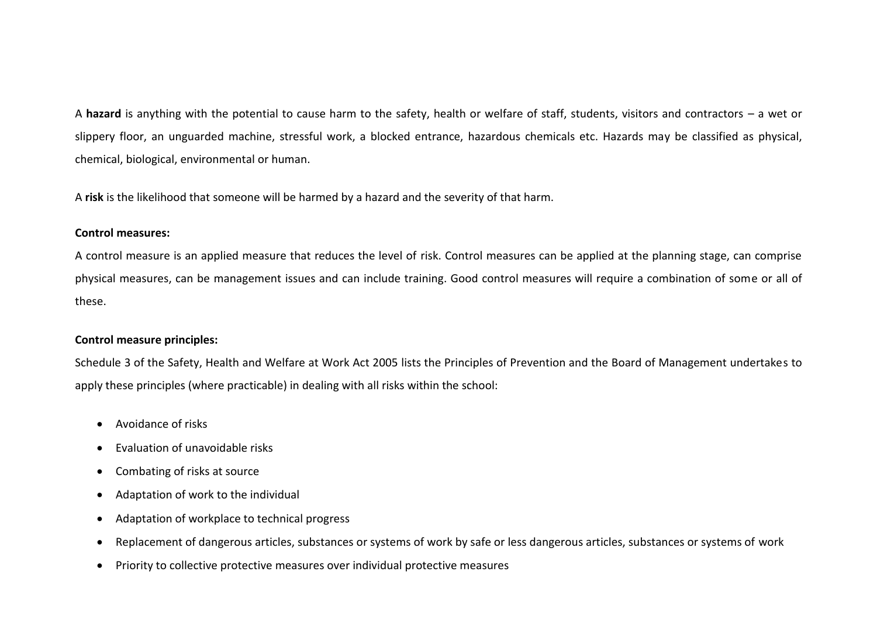A **hazard** is anything with the potential to cause harm to the safety, health or welfare of staff, students, visitors and contractors – a wet or slippery floor, an unguarded machine, stressful work, a blocked entrance, hazardous chemicals etc. Hazards may be classified as physical, chemical, biological, environmental or human.

A **risk** is the likelihood that someone will be harmed by a hazard and the severity of that harm.

## **Control measures:**

A control measure is an applied measure that reduces the level of risk. Control measures can be applied at the planning stage, can comprise physical measures, can be management issues and can include training. Good control measures will require a combination of some or all of these.

## **Control measure principles:**

Schedule 3 of the Safety, Health and Welfare at Work Act 2005 lists the Principles of Prevention and the Board of Management undertakes to apply these principles (where practicable) in dealing with all risks within the school:

- Avoidance of risks
- Evaluation of unavoidable risks
- Combating of risks at source
- Adaptation of work to the individual
- Adaptation of workplace to technical progress
- Replacement of dangerous articles, substances or systems of work by safe or less dangerous articles, substances or systems of work
- Priority to collective protective measures over individual protective measures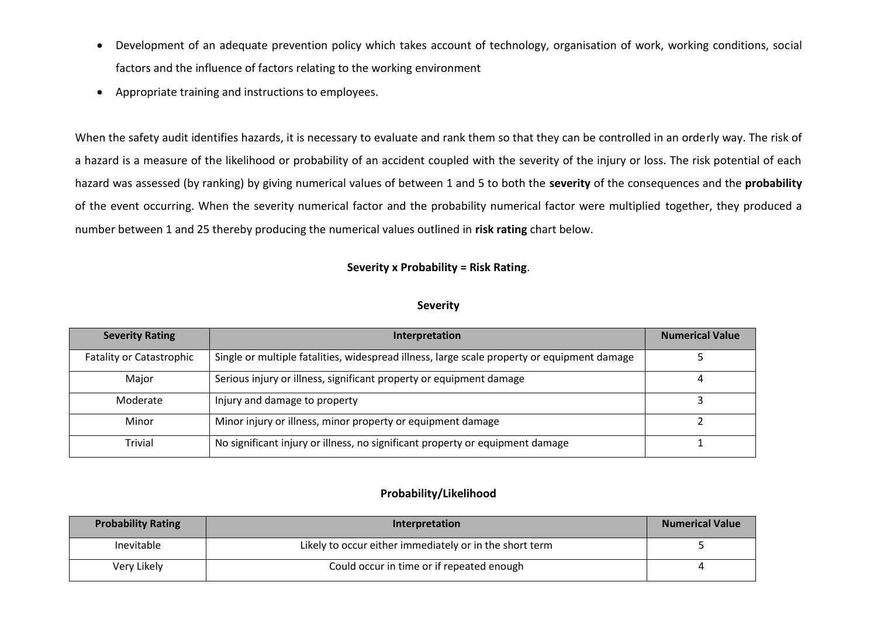- Development of an adequate prevention policy which takes account of technology, organisation of work, working conditions, social factors and the influence of factors relating to the working environment
- Appropriate training and instructions to employees.

When the safety audit identifies hazards, it is necessary to evaluate and rank them so that they can be controlled in an orderly way. The risk of a hazard is a measure of the likelihood or probability of an accident coupled with the severity of the injury or loss. The risk potential of each hazard was assessed (by ranking) by giving numerical values of between 1 and 5 to both the **severity** of the consequences and the **probability** of the event occurring. When the severity numerical factor and the probability numerical factor were multiplied together, they produced a number between 1 and 25 thereby producing the numerical values outlined in **risk rating** chart below.

## **Severity x Probability = Risk Rating**.

#### **Severity**

| <b>Severity Rating</b>          | Interpretation                                                                              | <b>Numerical Value</b> |
|---------------------------------|---------------------------------------------------------------------------------------------|------------------------|
| <b>Fatality or Catastrophic</b> | Single or multiple fatalities, widespread illness, large scale property or equipment damage |                        |
| Major                           | Serious injury or illness, significant property or equipment damage                         | 4                      |
| Moderate                        | Injury and damage to property                                                               |                        |
| Minor                           | Minor injury or illness, minor property or equipment damage                                 |                        |
| Trivial                         | No significant injury or illness, no significant property or equipment damage               |                        |

## **Probability/Likelihood**

| <b>Probability Rating</b> | <b>Interpretation</b>                                   | <b>Numerical Value</b> |
|---------------------------|---------------------------------------------------------|------------------------|
| Inevitable                | Likely to occur either immediately or in the short term |                        |
| Very Likely               | Could occur in time or if repeated enough               |                        |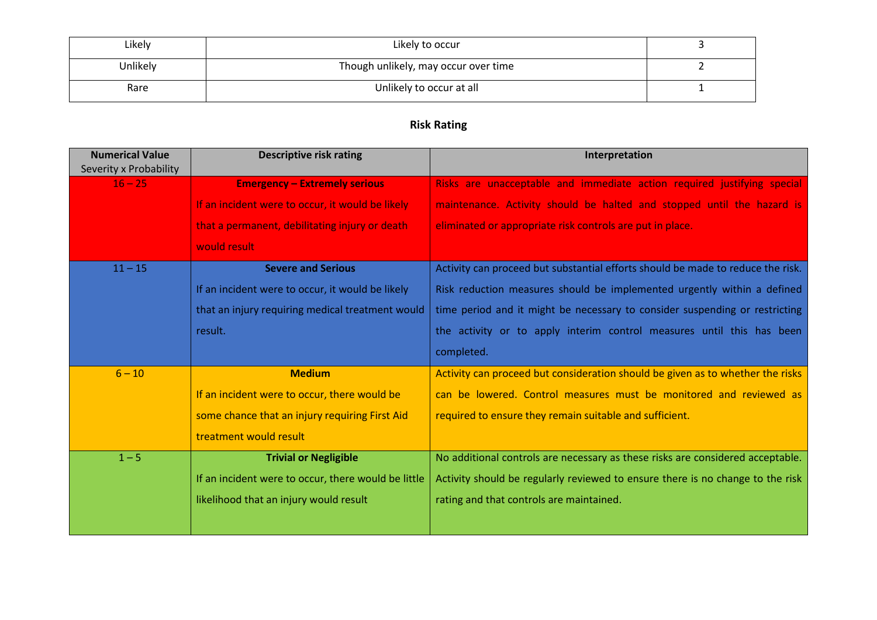| Likely   | Likely to occur                      |  |
|----------|--------------------------------------|--|
| Unlikely | Though unlikely, may occur over time |  |
| Rare     | Unlikely to occur at all             |  |

# **Risk Rating**

| <b>Numerical Value</b><br>Severity x Probability | <b>Descriptive risk rating</b>                      | Interpretation                                                                  |
|--------------------------------------------------|-----------------------------------------------------|---------------------------------------------------------------------------------|
| $16 - 25$                                        | <b>Emergency - Extremely serious</b>                | Risks are unacceptable and immediate action required justifying special         |
|                                                  | If an incident were to occur, it would be likely    | maintenance. Activity should be halted and stopped until the hazard is          |
|                                                  | that a permanent, debilitating injury or death      | eliminated or appropriate risk controls are put in place.                       |
|                                                  | would result                                        |                                                                                 |
| $11 - 15$                                        | <b>Severe and Serious</b>                           | Activity can proceed but substantial efforts should be made to reduce the risk. |
|                                                  | If an incident were to occur, it would be likely    | Risk reduction measures should be implemented urgently within a defined         |
|                                                  | that an injury requiring medical treatment would    | time period and it might be necessary to consider suspending or restricting     |
|                                                  | result.                                             | the activity or to apply interim control measures until this has been           |
|                                                  |                                                     | completed.                                                                      |
| $6 - 10$                                         | <b>Medium</b>                                       | Activity can proceed but consideration should be given as to whether the risks  |
|                                                  | If an incident were to occur, there would be        | can be lowered. Control measures must be monitored and reviewed as              |
|                                                  | some chance that an injury requiring First Aid      | required to ensure they remain suitable and sufficient.                         |
|                                                  | treatment would result                              |                                                                                 |
| $1 - 5$                                          | <b>Trivial or Negligible</b>                        | No additional controls are necessary as these risks are considered acceptable.  |
|                                                  | If an incident were to occur, there would be little | Activity should be regularly reviewed to ensure there is no change to the risk  |
|                                                  | likelihood that an injury would result              | rating and that controls are maintained.                                        |
|                                                  |                                                     |                                                                                 |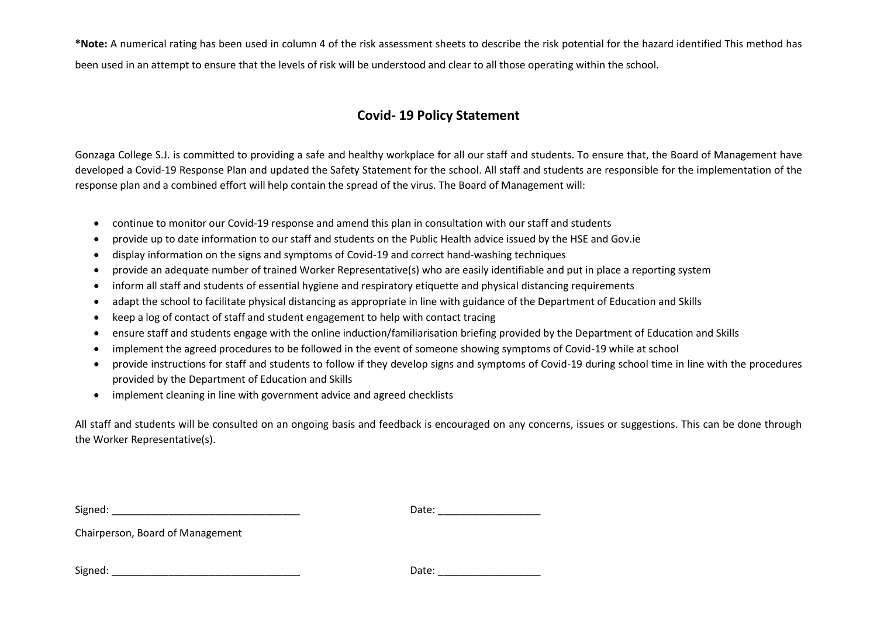**\*Note:** A numerical rating has been used in column 4 of the risk assessment sheets to describe the risk potential for the hazard identified This method has been used in an attempt to ensure that the levels of risk will be understood and clear to all those operating within the school.

# **Covid- 19 Policy Statement**

Gonzaga College S.J. is committed to providing a safe and healthy workplace for all our staff and students. To ensure that, the Board of Management have developed a Covid-19 Response Plan and updated the Safety Statement for the school. All staff and students are responsible for the implementation of the response plan and a combined effort will help contain the spread of the virus. The Board of Management will:

- continue to monitor our Covid-19 response and amend this plan in consultation with our staff and students
- provide up to date information to our staff and students on the Public Health advice issued by the HSE and Gov.ie
- display information on the signs and symptoms of Covid-19 and correct hand-washing techniques
- provide an adequate number of trained Worker Representative(s) who are easily identifiable and put in place a reporting system
- inform all staff and students of essential hygiene and respiratory etiquette and physical distancing requirements
- adapt the school to facilitate physical distancing as appropriate in line with guidance of the Department of Education and Skills
- keep a log of contact of staff and student engagement to help with contact tracing
- ensure staff and students engage with the online induction/familiarisation briefing provided by the Department of Education and Skills
- implement the agreed procedures to be followed in the event of someone showing symptoms of Covid-19 while at school
- provide instructions for staff and students to follow if they develop signs and symptoms of Covid-19 during school time in line with the procedures provided by the Department of Education and Skills
- implement cleaning in line with government advice and agreed checklists

All staff and students will be consulted on an ongoing basis and feedback is encouraged on any concerns, issues or suggestions. This can be done through the Worker Representative(s).

Signed: \_\_\_\_\_\_\_\_\_\_\_\_\_\_\_\_\_\_\_\_\_\_\_\_\_\_\_\_\_\_\_\_\_ Date: \_\_\_\_\_\_\_\_\_\_\_\_\_\_\_\_\_\_

Chairperson, Board of Management

Signed: \_\_\_\_\_\_\_\_\_\_\_\_\_\_\_\_\_\_\_\_\_\_\_\_\_\_\_\_\_\_\_\_\_ Date: \_\_\_\_\_\_\_\_\_\_\_\_\_\_\_\_\_\_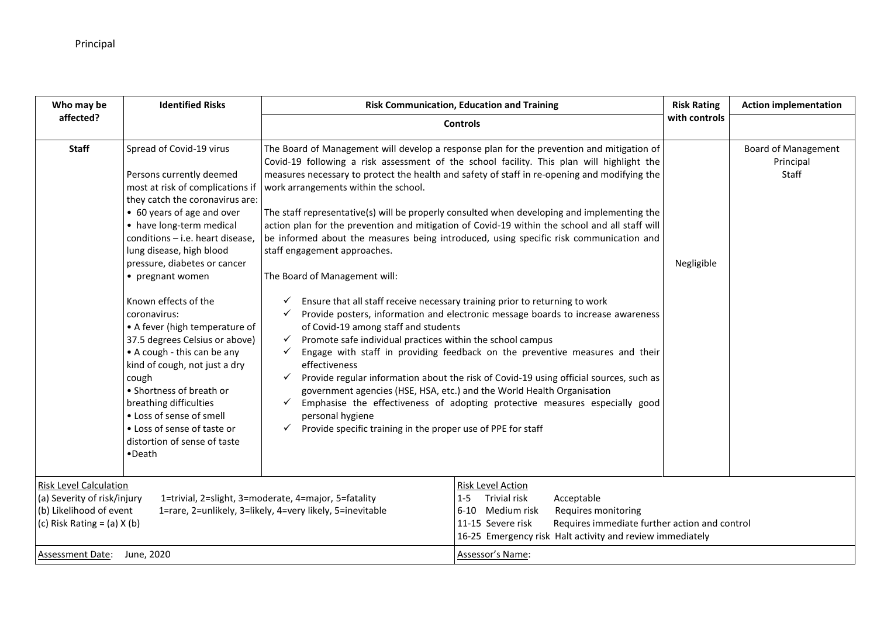| <b>Identified Risks</b><br>Who may be                                                                                      |                                                                                                                                                                                                                                                                                                                                                                                                                                                                                                                                                                                                                                                                    | <b>Risk Communication, Education and Training</b>                                                                                                                                                                                                                                                                                                                                                                                                                                                                                                                                                                                                                                                                                                                                                                                                                                                                                                                                                                                                                                                                                                                                                                                                                                                                                                                                                                                                                                          | <b>Risk Rating</b> | <b>Action implementation</b>                     |
|----------------------------------------------------------------------------------------------------------------------------|--------------------------------------------------------------------------------------------------------------------------------------------------------------------------------------------------------------------------------------------------------------------------------------------------------------------------------------------------------------------------------------------------------------------------------------------------------------------------------------------------------------------------------------------------------------------------------------------------------------------------------------------------------------------|--------------------------------------------------------------------------------------------------------------------------------------------------------------------------------------------------------------------------------------------------------------------------------------------------------------------------------------------------------------------------------------------------------------------------------------------------------------------------------------------------------------------------------------------------------------------------------------------------------------------------------------------------------------------------------------------------------------------------------------------------------------------------------------------------------------------------------------------------------------------------------------------------------------------------------------------------------------------------------------------------------------------------------------------------------------------------------------------------------------------------------------------------------------------------------------------------------------------------------------------------------------------------------------------------------------------------------------------------------------------------------------------------------------------------------------------------------------------------------------------|--------------------|--------------------------------------------------|
| affected?                                                                                                                  |                                                                                                                                                                                                                                                                                                                                                                                                                                                                                                                                                                                                                                                                    | <b>Controls</b>                                                                                                                                                                                                                                                                                                                                                                                                                                                                                                                                                                                                                                                                                                                                                                                                                                                                                                                                                                                                                                                                                                                                                                                                                                                                                                                                                                                                                                                                            | with controls      |                                                  |
| <b>Staff</b>                                                                                                               | Spread of Covid-19 virus<br>Persons currently deemed<br>most at risk of complications if<br>they catch the coronavirus are:<br>• 60 years of age and over<br>• have long-term medical<br>conditions - i.e. heart disease,<br>lung disease, high blood<br>pressure, diabetes or cancer<br>• pregnant women<br>Known effects of the<br>coronavirus:<br>• A fever (high temperature of<br>37.5 degrees Celsius or above)<br>• A cough - this can be any<br>kind of cough, not just a dry<br>cough<br>• Shortness of breath or<br>breathing difficulties<br>• Loss of sense of smell<br>• Loss of sense of taste or<br>distortion of sense of taste<br>$\bullet$ Death | The Board of Management will develop a response plan for the prevention and mitigation of<br>Covid-19 following a risk assessment of the school facility. This plan will highlight the<br>measures necessary to protect the health and safety of staff in re-opening and modifying the<br>work arrangements within the school.<br>The staff representative(s) will be properly consulted when developing and implementing the<br>action plan for the prevention and mitigation of Covid-19 within the school and all staff will<br>be informed about the measures being introduced, using specific risk communication and<br>staff engagement approaches.<br>The Board of Management will:<br>$\checkmark$ Ensure that all staff receive necessary training prior to returning to work<br>$\checkmark$ Provide posters, information and electronic message boards to increase awareness<br>of Covid-19 among staff and students<br>Promote safe individual practices within the school campus<br>$\checkmark$<br>Engage with staff in providing feedback on the preventive measures and their<br>✓<br>effectiveness<br>Provide regular information about the risk of Covid-19 using official sources, such as<br>$\checkmark$<br>government agencies (HSE, HSA, etc.) and the World Health Organisation<br>Emphasise the effectiveness of adopting protective measures especially good<br>$\checkmark$<br>personal hygiene<br>Provide specific training in the proper use of PPE for staff | Negligible         | <b>Board of Management</b><br>Principal<br>Staff |
| <b>Risk Level Calculation</b><br>(a) Severity of risk/injury<br>(b) Likelihood of event<br>(c) Risk Rating = $(a)$ X $(b)$ |                                                                                                                                                                                                                                                                                                                                                                                                                                                                                                                                                                                                                                                                    | Risk Level Action<br>Trivial risk<br>Acceptable<br>1=trivial, 2=slight, 3=moderate, 4=major, 5=fatality<br>$1 - 5$<br>1=rare, 2=unlikely, 3=likely, 4=very likely, 5=inevitable<br>6-10 Medium risk<br>Requires monitoring<br>Requires immediate further action and control<br>11-15 Severe risk<br>16-25 Emergency risk Halt activity and review immediately                                                                                                                                                                                                                                                                                                                                                                                                                                                                                                                                                                                                                                                                                                                                                                                                                                                                                                                                                                                                                                                                                                                              |                    |                                                  |
| Assessment Date: June, 2020                                                                                                |                                                                                                                                                                                                                                                                                                                                                                                                                                                                                                                                                                                                                                                                    | Assessor's Name:                                                                                                                                                                                                                                                                                                                                                                                                                                                                                                                                                                                                                                                                                                                                                                                                                                                                                                                                                                                                                                                                                                                                                                                                                                                                                                                                                                                                                                                                           |                    |                                                  |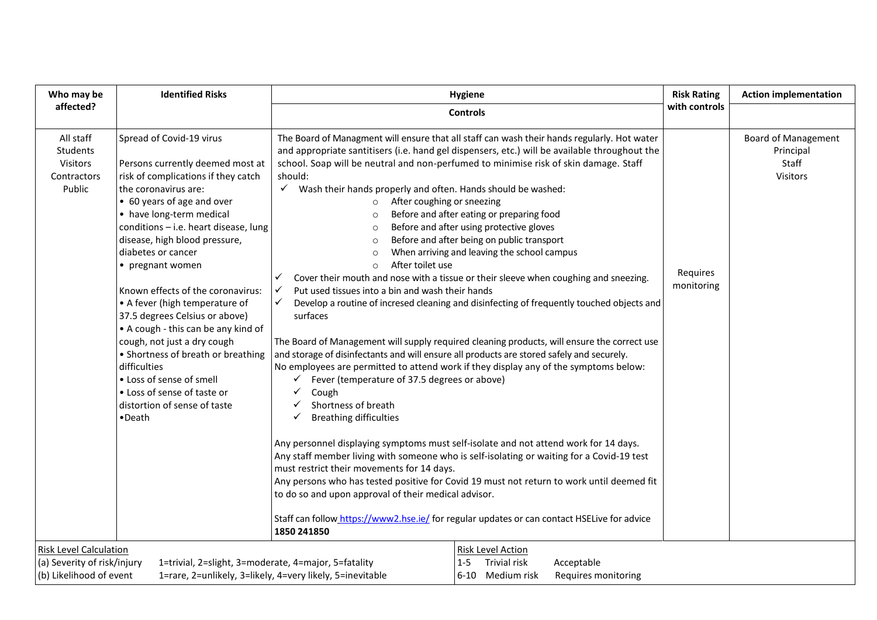| <b>Controls</b><br>All staff<br>Spread of Covid-19 virus<br>The Board of Managment will ensure that all staff can wash their hands regularly. Hot water<br>Students<br>and appropriate santitisers (i.e. hand gel dispensers, etc.) will be available throughout the<br>Principal<br>school. Soap will be neutral and non-perfumed to minimise risk of skin damage. Staff<br>Staff<br>Visitors<br>Persons currently deemed most at<br>risk of complications if they catch<br>should:<br>Visitors<br>Contractors<br>Public<br>the coronavirus are:<br>$\checkmark$ Wash their hands properly and often. Hands should be washed:<br>• 60 years of age and over<br>After coughing or sneezing<br>$\circ$<br>• have long-term medical<br>Before and after eating or preparing food<br>$\circ$<br>conditions - i.e. heart disease, lung<br>Before and after using protective gloves<br>$\circ$<br>Before and after being on public transport<br>disease, high blood pressure,<br>$\circ$<br>diabetes or cancer<br>When arriving and leaving the school campus<br>$\circ$<br>After toilet use<br>• pregnant women<br>$\circ$<br>Requires<br>Cover their mouth and nose with a tissue or their sleeve when coughing and sneezing.<br>✓<br>monitoring<br>Known effects of the coronavirus:<br>$\checkmark$<br>Put used tissues into a bin and wash their hands<br>$\checkmark$<br>Develop a routine of incresed cleaning and disinfecting of frequently touched objects and<br>• A fever (high temperature of<br>37.5 degrees Celsius or above)<br>surfaces<br>• A cough - this can be any kind of<br>cough, not just a dry cough<br>The Board of Management will supply required cleaning products, will ensure the correct use<br>and storage of disinfectants and will ensure all products are stored safely and securely.<br>• Shortness of breath or breathing<br>difficulties<br>No employees are permitted to attend work if they display any of the symptoms below:<br>• Loss of sense of smell<br>Fever (temperature of 37.5 degrees or above)<br>• Loss of sense of taste or<br>Cough<br>✓<br>Shortness of breath<br>distortion of sense of taste<br><b>Breathing difficulties</b><br>•Death<br>✓<br>Any personnel displaying symptoms must self-isolate and not attend work for 14 days.<br>Any staff member living with someone who is self-isolating or waiting for a Covid-19 test<br>must restrict their movements for 14 days.<br>Any persons who has tested positive for Covid 19 must not return to work until deemed fit<br>to do so and upon approval of their medical advisor.<br>Staff can follow https://www2.hse.ie/ for regular updates or can contact HSELive for advice<br>1850 241850<br><b>Risk Level Action</b> | Who may be                    | <b>Identified Risks</b> | <b>Hygiene</b> |                            | <b>Action implementation</b> |
|---------------------------------------------------------------------------------------------------------------------------------------------------------------------------------------------------------------------------------------------------------------------------------------------------------------------------------------------------------------------------------------------------------------------------------------------------------------------------------------------------------------------------------------------------------------------------------------------------------------------------------------------------------------------------------------------------------------------------------------------------------------------------------------------------------------------------------------------------------------------------------------------------------------------------------------------------------------------------------------------------------------------------------------------------------------------------------------------------------------------------------------------------------------------------------------------------------------------------------------------------------------------------------------------------------------------------------------------------------------------------------------------------------------------------------------------------------------------------------------------------------------------------------------------------------------------------------------------------------------------------------------------------------------------------------------------------------------------------------------------------------------------------------------------------------------------------------------------------------------------------------------------------------------------------------------------------------------------------------------------------------------------------------------------------------------------------------------------------------------------------------------------------------------------------------------------------------------------------------------------------------------------------------------------------------------------------------------------------------------------------------------------------------------------------------------------------------------------------------------------------------------------------------------------------------------------------------------------------------------------------------------------------------------------------------------------------------------------------------------|-------------------------------|-------------------------|----------------|----------------------------|------------------------------|
|                                                                                                                                                                                                                                                                                                                                                                                                                                                                                                                                                                                                                                                                                                                                                                                                                                                                                                                                                                                                                                                                                                                                                                                                                                                                                                                                                                                                                                                                                                                                                                                                                                                                                                                                                                                                                                                                                                                                                                                                                                                                                                                                                                                                                                                                                                                                                                                                                                                                                                                                                                                                                                                                                                                                       | affected?                     |                         |                | with controls              |                              |
|                                                                                                                                                                                                                                                                                                                                                                                                                                                                                                                                                                                                                                                                                                                                                                                                                                                                                                                                                                                                                                                                                                                                                                                                                                                                                                                                                                                                                                                                                                                                                                                                                                                                                                                                                                                                                                                                                                                                                                                                                                                                                                                                                                                                                                                                                                                                                                                                                                                                                                                                                                                                                                                                                                                                       |                               |                         |                | <b>Board of Management</b> |                              |
| <b>Trivial risk</b><br>(a) Severity of risk/injury<br>1=trivial, 2=slight, 3=moderate, 4=major, 5=fatality<br>$1-5$<br>Acceptable<br>(b) Likelihood of event<br>1=rare, 2=unlikely, 3=likely, 4=very likely, 5=inevitable<br>6-10 Medium risk<br>Requires monitoring                                                                                                                                                                                                                                                                                                                                                                                                                                                                                                                                                                                                                                                                                                                                                                                                                                                                                                                                                                                                                                                                                                                                                                                                                                                                                                                                                                                                                                                                                                                                                                                                                                                                                                                                                                                                                                                                                                                                                                                                                                                                                                                                                                                                                                                                                                                                                                                                                                                                  | <b>Risk Level Calculation</b> |                         |                |                            |                              |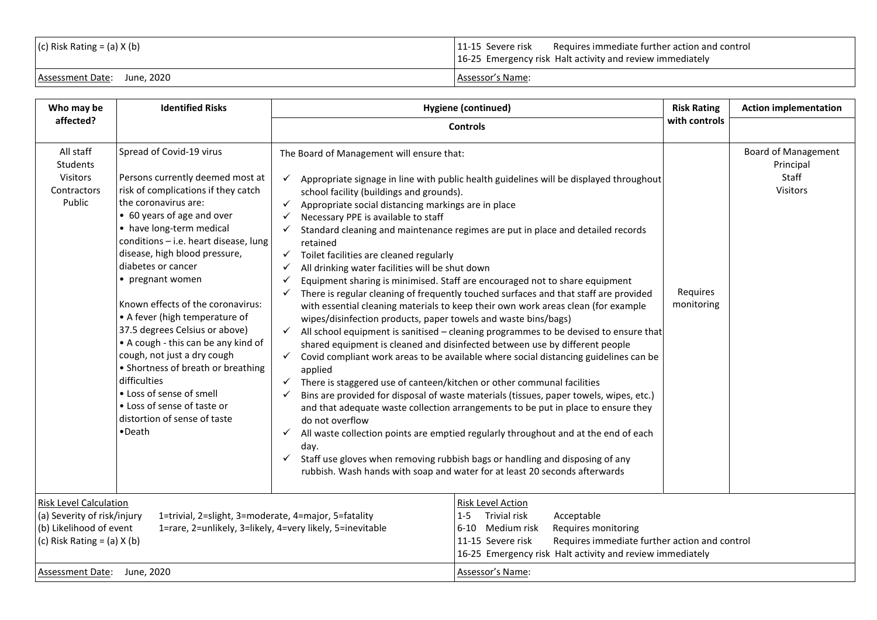| $(c)$ Risk Rating = (a) X (b) | 11-15 Severe risk<br>Requires immediate further action and control<br>16-25 Emergency risk Halt activity and review immediately |
|-------------------------------|---------------------------------------------------------------------------------------------------------------------------------|
| Assessment Date: June, 2020   | Assessor's Name:                                                                                                                |

| Who may be                                                                                                                 | <b>Identified Risks</b>                                                                                                                                                                                                                                                                                                                                                                                                                                                                                                                                                                                                                             | <b>Hygiene (continued)</b>                                                                                                                                                                                                                                                                                                                                                                                                                                                                                                                                                   |                                                                                                                                                                                                                                                                                                                                                                                                                                                                                                                                                                                                                                                                                                                                                                                                                                                                                                                                                                                                                                                                                                                                                       | <b>Risk Rating</b><br>with controls | <b>Action implementation</b>                                        |
|----------------------------------------------------------------------------------------------------------------------------|-----------------------------------------------------------------------------------------------------------------------------------------------------------------------------------------------------------------------------------------------------------------------------------------------------------------------------------------------------------------------------------------------------------------------------------------------------------------------------------------------------------------------------------------------------------------------------------------------------------------------------------------------------|------------------------------------------------------------------------------------------------------------------------------------------------------------------------------------------------------------------------------------------------------------------------------------------------------------------------------------------------------------------------------------------------------------------------------------------------------------------------------------------------------------------------------------------------------------------------------|-------------------------------------------------------------------------------------------------------------------------------------------------------------------------------------------------------------------------------------------------------------------------------------------------------------------------------------------------------------------------------------------------------------------------------------------------------------------------------------------------------------------------------------------------------------------------------------------------------------------------------------------------------------------------------------------------------------------------------------------------------------------------------------------------------------------------------------------------------------------------------------------------------------------------------------------------------------------------------------------------------------------------------------------------------------------------------------------------------------------------------------------------------|-------------------------------------|---------------------------------------------------------------------|
| affected?                                                                                                                  |                                                                                                                                                                                                                                                                                                                                                                                                                                                                                                                                                                                                                                                     | <b>Controls</b>                                                                                                                                                                                                                                                                                                                                                                                                                                                                                                                                                              |                                                                                                                                                                                                                                                                                                                                                                                                                                                                                                                                                                                                                                                                                                                                                                                                                                                                                                                                                                                                                                                                                                                                                       |                                     |                                                                     |
| All staff<br>Students<br>Visitors<br>Contractors<br>Public                                                                 | Spread of Covid-19 virus<br>Persons currently deemed most at<br>risk of complications if they catch<br>the coronavirus are:<br>• 60 years of age and over<br>• have long-term medical<br>conditions - i.e. heart disease, lung<br>disease, high blood pressure,<br>diabetes or cancer<br>• pregnant women<br>Known effects of the coronavirus:<br>• A fever (high temperature of<br>37.5 degrees Celsius or above)<br>• A cough - this can be any kind of<br>cough, not just a dry cough<br>• Shortness of breath or breathing<br>difficulties<br>• Loss of sense of smell<br>• Loss of sense of taste or<br>distortion of sense of taste<br>•Death | The Board of Management will ensure that:<br>school facility (buildings and grounds).<br>Appropriate social distancing markings are in place<br>$\checkmark$<br>Necessary PPE is available to staff<br>retained<br>$\checkmark$ Toilet facilities are cleaned regularly<br>All drinking water facilities will be shut down<br>wipes/disinfection products, paper towels and waste bins/bags)<br>$\checkmark$<br>applied<br>There is staggered use of canteen/kitchen or other communal facilities<br>$\checkmark$<br>do not overflow<br>$\checkmark$<br>day.<br>$\checkmark$ | Appropriate signage in line with public health guidelines will be displayed throughout<br>Standard cleaning and maintenance regimes are put in place and detailed records<br>Equipment sharing is minimised. Staff are encouraged not to share equipment<br>There is regular cleaning of frequently touched surfaces and that staff are provided<br>with essential cleaning materials to keep their own work areas clean (for example<br>$\checkmark$ All school equipment is sanitised – cleaning programmes to be devised to ensure that<br>shared equipment is cleaned and disinfected between use by different people<br>Covid compliant work areas to be available where social distancing guidelines can be<br>Bins are provided for disposal of waste materials (tissues, paper towels, wipes, etc.)<br>and that adequate waste collection arrangements to be put in place to ensure they<br>All waste collection points are emptied regularly throughout and at the end of each<br>Staff use gloves when removing rubbish bags or handling and disposing of any<br>rubbish. Wash hands with soap and water for at least 20 seconds afterwards | Requires<br>monitoring              | <b>Board of Management</b><br>Principal<br>Staff<br><b>Visitors</b> |
| <b>Risk Level Calculation</b><br>(a) Severity of risk/injury<br>(b) Likelihood of event<br>(c) Risk Rating = $(a)$ X $(b)$ | 1=trivial, 2=slight, 3=moderate, 4=major, 5=fatality                                                                                                                                                                                                                                                                                                                                                                                                                                                                                                                                                                                                | 1=rare, 2=unlikely, 3=likely, 4=very likely, 5=inevitable                                                                                                                                                                                                                                                                                                                                                                                                                                                                                                                    | Risk Level Action<br>Trivial risk<br>Acceptable<br>$1 - 5$<br>6-10 Medium risk<br>Requires monitoring<br>Requires immediate further action and control<br>11-15 Severe risk<br>16-25 Emergency risk Halt activity and review immediately                                                                                                                                                                                                                                                                                                                                                                                                                                                                                                                                                                                                                                                                                                                                                                                                                                                                                                              |                                     |                                                                     |
| Assessment Date: June, 2020                                                                                                |                                                                                                                                                                                                                                                                                                                                                                                                                                                                                                                                                                                                                                                     | Assessor's Name:                                                                                                                                                                                                                                                                                                                                                                                                                                                                                                                                                             |                                                                                                                                                                                                                                                                                                                                                                                                                                                                                                                                                                                                                                                                                                                                                                                                                                                                                                                                                                                                                                                                                                                                                       |                                     |                                                                     |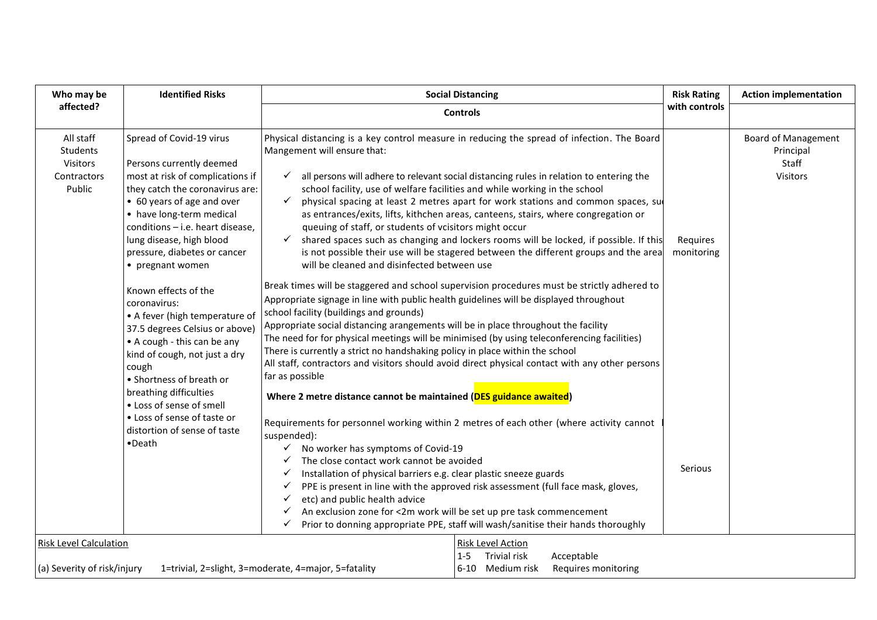| Who may be                                                                                                                                              | <b>Identified Risks</b>                                                                                                                                                                                                                                                                                                           | <b>Social Distancing</b>                                                                                                                                                                                                                                                                                                                                                                                                                                                                                                                                                                                                                                                                                                                                                                                                                                                                                            | <b>Risk Rating</b>     | <b>Action implementation</b>                                        |
|---------------------------------------------------------------------------------------------------------------------------------------------------------|-----------------------------------------------------------------------------------------------------------------------------------------------------------------------------------------------------------------------------------------------------------------------------------------------------------------------------------|---------------------------------------------------------------------------------------------------------------------------------------------------------------------------------------------------------------------------------------------------------------------------------------------------------------------------------------------------------------------------------------------------------------------------------------------------------------------------------------------------------------------------------------------------------------------------------------------------------------------------------------------------------------------------------------------------------------------------------------------------------------------------------------------------------------------------------------------------------------------------------------------------------------------|------------------------|---------------------------------------------------------------------|
| affected?                                                                                                                                               |                                                                                                                                                                                                                                                                                                                                   | <b>Controls</b>                                                                                                                                                                                                                                                                                                                                                                                                                                                                                                                                                                                                                                                                                                                                                                                                                                                                                                     | with controls          |                                                                     |
| All staff<br>Students<br>Visitors<br>Contractors<br>Public                                                                                              | Spread of Covid-19 virus<br>Persons currently deemed<br>most at risk of complications if<br>they catch the coronavirus are:<br>• 60 years of age and over<br>• have long-term medical<br>conditions - i.e. heart disease,<br>lung disease, high blood<br>pressure, diabetes or cancer<br>• pregnant women<br>Known effects of the | Physical distancing is a key control measure in reducing the spread of infection. The Board<br>Mangement will ensure that:<br>all persons will adhere to relevant social distancing rules in relation to entering the<br>$\checkmark$<br>school facility, use of welfare facilities and while working in the school<br>physical spacing at least 2 metres apart for work stations and common spaces, su<br>$\checkmark$<br>as entrances/exits, lifts, kithchen areas, canteens, stairs, where congregation or<br>queuing of staff, or students of vcisitors might occur<br>$\checkmark$ shared spaces such as changing and lockers rooms will be locked, if possible. If this<br>is not possible their use will be stagered between the different groups and the area<br>will be cleaned and disinfected between use<br>Break times will be staggered and school supervision procedures must be strictly adhered to | Requires<br>monitoring | <b>Board of Management</b><br>Principal<br>Staff<br><b>Visitors</b> |
|                                                                                                                                                         | coronavirus:<br>• A fever (high temperature of<br>37.5 degrees Celsius or above)<br>• A cough - this can be any<br>kind of cough, not just a dry<br>cough<br>• Shortness of breath or<br>breathing difficulties                                                                                                                   | Appropriate signage in line with public health guidelines will be displayed throughout<br>school facility (buildings and grounds)<br>Appropriate social distancing arangements will be in place throughout the facility<br>The need for for physical meetings will be minimised (by using teleconferencing facilities)<br>There is currently a strict no handshaking policy in place within the school<br>All staff, contractors and visitors should avoid direct physical contact with any other persons<br>far as possible<br>Where 2 metre distance cannot be maintained (DES guidance awaited)                                                                                                                                                                                                                                                                                                                  |                        |                                                                     |
| • Loss of sense of smell<br>• Loss of sense of taste or<br>distortion of sense of taste<br>suspended):<br>$\bullet$ Death<br>✓<br>✓<br>✓<br>✓<br>✓<br>✓ |                                                                                                                                                                                                                                                                                                                                   | Requirements for personnel working within 2 metres of each other (where activity cannot<br>$\checkmark$ No worker has symptoms of Covid-19<br>The close contact work cannot be avoided<br>Installation of physical barriers e.g. clear plastic sneeze guards<br>PPE is present in line with the approved risk assessment (full face mask, gloves,<br>etc) and public health advice<br>An exclusion zone for <2m work will be set up pre task commencement<br>Prior to donning appropriate PPE, staff will wash/sanitise their hands thoroughly                                                                                                                                                                                                                                                                                                                                                                      | Serious                |                                                                     |
| <b>Risk Level Calculation</b><br>(a) Severity of risk/injury                                                                                            |                                                                                                                                                                                                                                                                                                                                   | Risk Level Action<br>Trivial risk<br>Acceptable<br>$1 - 5$<br>6-10 Medium risk<br>Requires monitoring<br>1=trivial, 2=slight, 3=moderate, 4=major, 5=fatality                                                                                                                                                                                                                                                                                                                                                                                                                                                                                                                                                                                                                                                                                                                                                       |                        |                                                                     |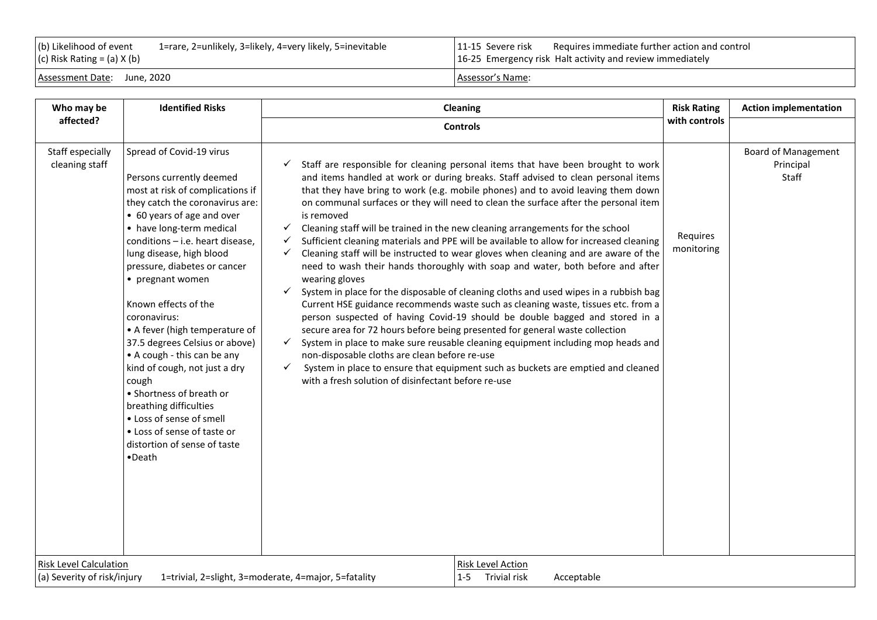| (b) Likelihood of event<br>$(c)$ Risk Rating = (a) X (b) | 1=rare, 2=unlikely, 3=likely, 4=very likely, 5=inevitable |                  | 11-15 Severe risk Requires immediate further action and control<br>16-25 Emergency risk Halt activity and review immediately |
|----------------------------------------------------------|-----------------------------------------------------------|------------------|------------------------------------------------------------------------------------------------------------------------------|
| Assessment Date: June, 2020                              |                                                           | Assessor's Name: |                                                                                                                              |

| Who may be                                                                                                                                                                                                                                                                                                                                                                                                                                                                                                                                                                                                                                                                                                                                                                                                                                                                                                                                                                                                                                                                                                                                                                                                                                                                                                                                                                                                                                                                                                                                                                                                                                                                                                                                                                                                                                                                                                                                                                                                                                                                                                                                                                                                                                                                | <b>Identified Risks</b> | <b>Cleaning</b>                                                                        | <b>Risk Rating</b> | <b>Action implementation</b> |  |  |
|---------------------------------------------------------------------------------------------------------------------------------------------------------------------------------------------------------------------------------------------------------------------------------------------------------------------------------------------------------------------------------------------------------------------------------------------------------------------------------------------------------------------------------------------------------------------------------------------------------------------------------------------------------------------------------------------------------------------------------------------------------------------------------------------------------------------------------------------------------------------------------------------------------------------------------------------------------------------------------------------------------------------------------------------------------------------------------------------------------------------------------------------------------------------------------------------------------------------------------------------------------------------------------------------------------------------------------------------------------------------------------------------------------------------------------------------------------------------------------------------------------------------------------------------------------------------------------------------------------------------------------------------------------------------------------------------------------------------------------------------------------------------------------------------------------------------------------------------------------------------------------------------------------------------------------------------------------------------------------------------------------------------------------------------------------------------------------------------------------------------------------------------------------------------------------------------------------------------------------------------------------------------------|-------------------------|----------------------------------------------------------------------------------------|--------------------|------------------------------|--|--|
| affected?                                                                                                                                                                                                                                                                                                                                                                                                                                                                                                                                                                                                                                                                                                                                                                                                                                                                                                                                                                                                                                                                                                                                                                                                                                                                                                                                                                                                                                                                                                                                                                                                                                                                                                                                                                                                                                                                                                                                                                                                                                                                                                                                                                                                                                                                 | <b>Controls</b>         | with controls                                                                          |                    |                              |  |  |
| Staff especially<br>Spread of Covid-19 virus<br><b>Board of Management</b><br>cleaning staff<br>Staff are responsible for cleaning personal items that have been brought to work<br>Principal<br>Staff<br>Persons currently deemed<br>and items handled at work or during breaks. Staff advised to clean personal items<br>most at risk of complications if<br>that they have bring to work (e.g. mobile phones) and to avoid leaving them down<br>on communal surfaces or they will need to clean the surface after the personal item<br>they catch the coronavirus are:<br>• 60 years of age and over<br>is removed<br>• have long-term medical<br>Cleaning staff will be trained in the new cleaning arrangements for the school<br>$\checkmark$<br>Requires<br>conditions - i.e. heart disease,<br>Sufficient cleaning materials and PPE will be available to allow for increased cleaning<br>✓<br>monitoring<br>lung disease, high blood<br>Cleaning staff will be instructed to wear gloves when cleaning and are aware of the<br>✓<br>need to wash their hands thoroughly with soap and water, both before and after<br>pressure, diabetes or cancer<br>• pregnant women<br>wearing gloves<br>System in place for the disposable of cleaning cloths and used wipes in a rubbish bag<br>$\checkmark$<br>Known effects of the<br>Current HSE guidance recommends waste such as cleaning waste, tissues etc. from a<br>person suspected of having Covid-19 should be double bagged and stored in a<br>coronavirus:<br>secure area for 72 hours before being presented for general waste collection<br>• A fever (high temperature of<br>37.5 degrees Celsius or above)<br>System in place to make sure reusable cleaning equipment including mop heads and<br>✓<br>• A cough - this can be any<br>non-disposable cloths are clean before re-use<br>kind of cough, not just a dry<br>System in place to ensure that equipment such as buckets are emptied and cleaned<br>$\checkmark$<br>with a fresh solution of disinfectant before re-use<br>cough<br>• Shortness of breath or<br>breathing difficulties<br>• Loss of sense of smell<br>• Loss of sense of taste or<br>distortion of sense of taste<br>•Death<br><b>Risk Level Calculation</b><br>Risk Level Action |                         |                                                                                        |                    |                              |  |  |
| (a) Severity of risk/injury                                                                                                                                                                                                                                                                                                                                                                                                                                                                                                                                                                                                                                                                                                                                                                                                                                                                                                                                                                                                                                                                                                                                                                                                                                                                                                                                                                                                                                                                                                                                                                                                                                                                                                                                                                                                                                                                                                                                                                                                                                                                                                                                                                                                                                               |                         | 1-5 Trivial risk<br>Acceptable<br>1=trivial, 2=slight, 3=moderate, 4=major, 5=fatality |                    |                              |  |  |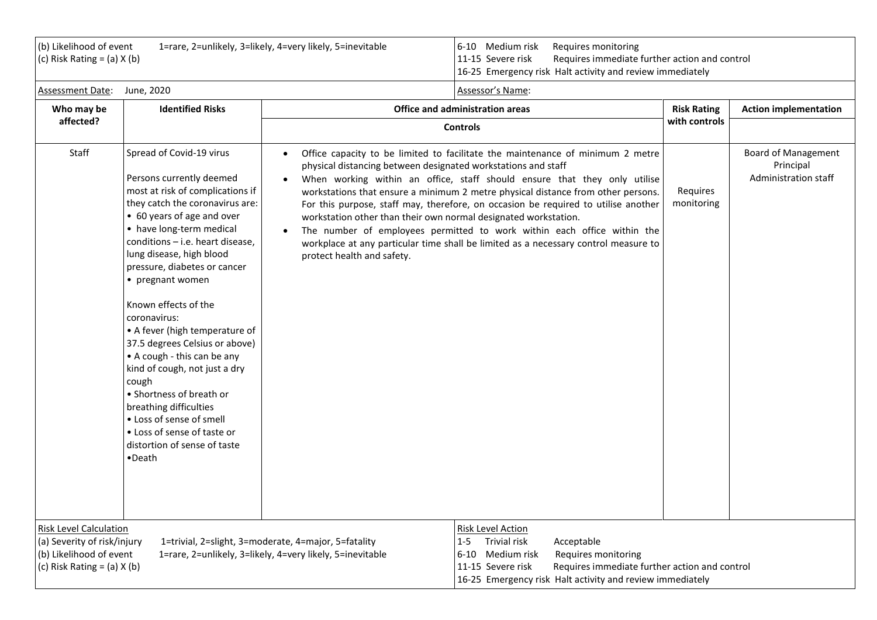| (b) Likelihood of event<br>1=rare, 2=unlikely, 3=likely, 4=very likely, 5=inevitable<br>(c) Risk Rating = $(a)$ X $(b)$    |                                                                                                                                                                                                                                                                                                                                                                                                                                                                                                                                                                                                                                                           |                                                                                                                                                                             | 6-10 Medium risk<br>Requires monitoring<br>11-15 Severe risk<br>Requires immediate further action and control<br>16-25 Emergency risk Halt activity and review immediately                                                                                                                                                                                                                                                                                                                              |                        |                                                                 |  |
|----------------------------------------------------------------------------------------------------------------------------|-----------------------------------------------------------------------------------------------------------------------------------------------------------------------------------------------------------------------------------------------------------------------------------------------------------------------------------------------------------------------------------------------------------------------------------------------------------------------------------------------------------------------------------------------------------------------------------------------------------------------------------------------------------|-----------------------------------------------------------------------------------------------------------------------------------------------------------------------------|---------------------------------------------------------------------------------------------------------------------------------------------------------------------------------------------------------------------------------------------------------------------------------------------------------------------------------------------------------------------------------------------------------------------------------------------------------------------------------------------------------|------------------------|-----------------------------------------------------------------|--|
| <b>Assessment Date:</b>                                                                                                    | June, 2020                                                                                                                                                                                                                                                                                                                                                                                                                                                                                                                                                                                                                                                |                                                                                                                                                                             | Assessor's Name:                                                                                                                                                                                                                                                                                                                                                                                                                                                                                        |                        |                                                                 |  |
| Who may be                                                                                                                 | <b>Identified Risks</b>                                                                                                                                                                                                                                                                                                                                                                                                                                                                                                                                                                                                                                   |                                                                                                                                                                             | Office and administration areas                                                                                                                                                                                                                                                                                                                                                                                                                                                                         | <b>Risk Rating</b>     | <b>Action implementation</b>                                    |  |
| affected?                                                                                                                  |                                                                                                                                                                                                                                                                                                                                                                                                                                                                                                                                                                                                                                                           |                                                                                                                                                                             | <b>Controls</b>                                                                                                                                                                                                                                                                                                                                                                                                                                                                                         | with controls          |                                                                 |  |
| Staff                                                                                                                      | Spread of Covid-19 virus<br>Persons currently deemed<br>most at risk of complications if<br>they catch the coronavirus are:<br>• 60 years of age and over<br>• have long-term medical<br>conditions - i.e. heart disease,<br>lung disease, high blood<br>pressure, diabetes or cancer<br>• pregnant women<br>Known effects of the<br>coronavirus:<br>• A fever (high temperature of<br>37.5 degrees Celsius or above)<br>• A cough - this can be any<br>kind of cough, not just a dry<br>cough<br>• Shortness of breath or<br>breathing difficulties<br>• Loss of sense of smell<br>• Loss of sense of taste or<br>distortion of sense of taste<br>•Death | $\bullet$<br>physical distancing between designated workstations and staff<br>workstation other than their own normal designated workstation.<br>protect health and safety. | Office capacity to be limited to facilitate the maintenance of minimum 2 metre<br>When working within an office, staff should ensure that they only utilise<br>workstations that ensure a minimum 2 metre physical distance from other persons.<br>For this purpose, staff may, therefore, on occasion be required to utilise another<br>The number of employees permitted to work within each office within the<br>workplace at any particular time shall be limited as a necessary control measure to | Requires<br>monitoring | <b>Board of Management</b><br>Principal<br>Administration staff |  |
| <b>Risk Level Calculation</b><br>(a) Severity of risk/injury<br>(b) Likelihood of event<br>(c) Risk Rating = $(a)$ X $(b)$ |                                                                                                                                                                                                                                                                                                                                                                                                                                                                                                                                                                                                                                                           | 1=trivial, 2=slight, 3=moderate, 4=major, 5=fatality<br>1=rare, 2=unlikely, 3=likely, 4=very likely, 5=inevitable                                                           | <b>Risk Level Action</b><br>Trivial risk<br>Acceptable<br>$1 - 5$<br>Medium risk<br>Requires monitoring<br>6-10<br>Requires immediate further action and control<br>11-15 Severe risk<br>16-25 Emergency risk Halt activity and review immediately                                                                                                                                                                                                                                                      |                        |                                                                 |  |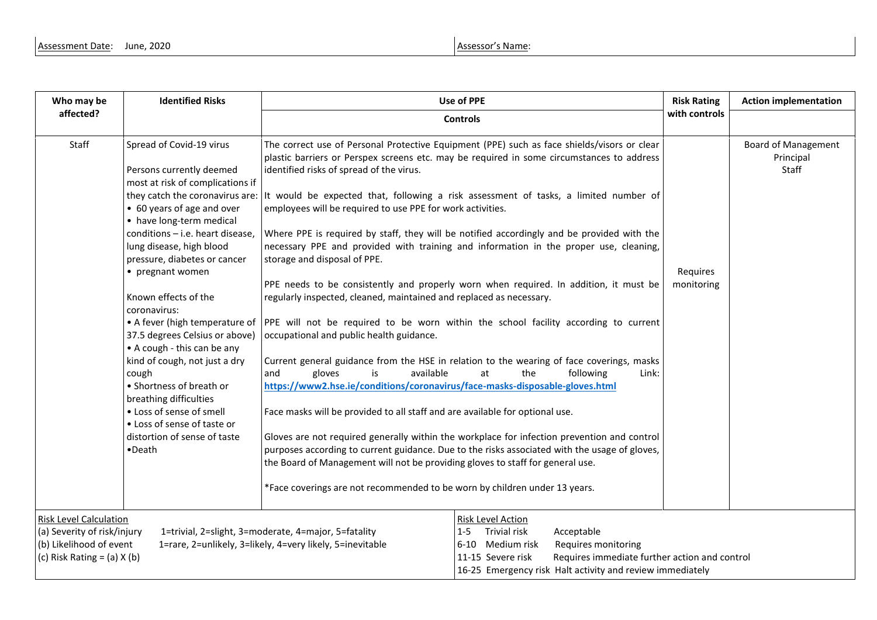| Who may be                                                                                                                                                                                                                                      | <b>Identified Risks</b><br>Use of PPE                                                                                                                                                                                                                                                                                                                                                                                                                                                                                                                                                                                                                     |                                                                                                                                                                                                                                                                                                                                                                                                                                                                                                                                                                                                                                                                                                                                                                                                                                                                                                                                                                                                                                                                                                                                                                                                                                                                                                                                                                                                                                                                                                                                                                                                                          | <b>Risk Rating</b>     | <b>Action implementation</b>                     |
|-------------------------------------------------------------------------------------------------------------------------------------------------------------------------------------------------------------------------------------------------|-----------------------------------------------------------------------------------------------------------------------------------------------------------------------------------------------------------------------------------------------------------------------------------------------------------------------------------------------------------------------------------------------------------------------------------------------------------------------------------------------------------------------------------------------------------------------------------------------------------------------------------------------------------|--------------------------------------------------------------------------------------------------------------------------------------------------------------------------------------------------------------------------------------------------------------------------------------------------------------------------------------------------------------------------------------------------------------------------------------------------------------------------------------------------------------------------------------------------------------------------------------------------------------------------------------------------------------------------------------------------------------------------------------------------------------------------------------------------------------------------------------------------------------------------------------------------------------------------------------------------------------------------------------------------------------------------------------------------------------------------------------------------------------------------------------------------------------------------------------------------------------------------------------------------------------------------------------------------------------------------------------------------------------------------------------------------------------------------------------------------------------------------------------------------------------------------------------------------------------------------------------------------------------------------|------------------------|--------------------------------------------------|
| affected?                                                                                                                                                                                                                                       |                                                                                                                                                                                                                                                                                                                                                                                                                                                                                                                                                                                                                                                           | with controls<br><b>Controls</b>                                                                                                                                                                                                                                                                                                                                                                                                                                                                                                                                                                                                                                                                                                                                                                                                                                                                                                                                                                                                                                                                                                                                                                                                                                                                                                                                                                                                                                                                                                                                                                                         |                        |                                                  |
| Staff                                                                                                                                                                                                                                           | Spread of Covid-19 virus<br>Persons currently deemed<br>most at risk of complications if<br>they catch the coronavirus are:<br>• 60 years of age and over<br>• have long-term medical<br>conditions - i.e. heart disease,<br>lung disease, high blood<br>pressure, diabetes or cancer<br>• pregnant women<br>Known effects of the<br>coronavirus:<br>• A fever (high temperature of<br>37.5 degrees Celsius or above)<br>• A cough - this can be any<br>kind of cough, not just a dry<br>cough<br>• Shortness of breath or<br>breathing difficulties<br>• Loss of sense of smell<br>• Loss of sense of taste or<br>distortion of sense of taste<br>•Death | The correct use of Personal Protective Equipment (PPE) such as face shields/visors or clear<br>plastic barriers or Perspex screens etc. may be required in some circumstances to address<br>identified risks of spread of the virus.<br>It would be expected that, following a risk assessment of tasks, a limited number of<br>employees will be required to use PPE for work activities.<br>Where PPE is required by staff, they will be notified accordingly and be provided with the<br>necessary PPE and provided with training and information in the proper use, cleaning,<br>storage and disposal of PPE.<br>PPE needs to be consistently and properly worn when required. In addition, it must be<br>regularly inspected, cleaned, maintained and replaced as necessary.<br>PPE will not be required to be worn within the school facility according to current<br>occupational and public health guidance.<br>Current general guidance from the HSE in relation to the wearing of face coverings, masks<br>available<br>and<br>gloves<br>is<br>at<br>the<br>following<br>Link:<br>https://www2.hse.ie/conditions/coronavirus/face-masks-disposable-gloves.html<br>Face masks will be provided to all staff and are available for optional use.<br>Gloves are not required generally within the workplace for infection prevention and control<br>purposes according to current guidance. Due to the risks associated with the usage of gloves,<br>the Board of Management will not be providing gloves to staff for general use.<br>*Face coverings are not recommended to be worn by children under 13 years. | Requires<br>monitoring | <b>Board of Management</b><br>Principal<br>Staff |
| <b>Risk Level Calculation</b><br>(a) Severity of risk/injury<br>1=trivial, 2=slight, 3=moderate, 4=major, 5=fatality<br>(b) Likelihood of event<br>1=rare, 2=unlikely, 3=likely, 4=very likely, 5=inevitable<br>(c) Risk Rating = $(a)$ X $(b)$ |                                                                                                                                                                                                                                                                                                                                                                                                                                                                                                                                                                                                                                                           | <b>Risk Level Action</b><br>Trivial risk<br>Acceptable<br>$1 - 5$<br>6-10 Medium risk<br>Requires monitoring<br>Requires immediate further action and control<br>11-15 Severe risk<br>16-25 Emergency risk Halt activity and review immediately                                                                                                                                                                                                                                                                                                                                                                                                                                                                                                                                                                                                                                                                                                                                                                                                                                                                                                                                                                                                                                                                                                                                                                                                                                                                                                                                                                          |                        |                                                  |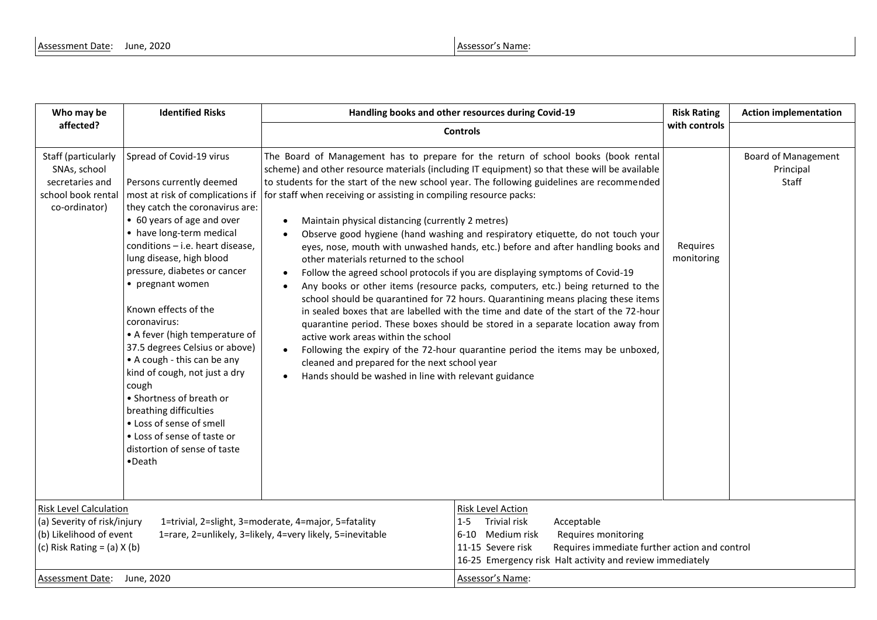| Who may be                                                                                                                 | <b>Identified Risks</b>                                                                                                                                                                                                                                                                                                                                                                                                                                                                                                                                                                                                                                   | Handling books and other resources during Covid-19                                                                                                                                                                                                                                                                                                                                                                                                                                                                                                                                                                                                                                                                                                                                                                                                                                                                                                                                                                                                                                                                                                                                                                                                                                                                   | <b>Risk Rating</b>     | <b>Action implementation</b>                     |
|----------------------------------------------------------------------------------------------------------------------------|-----------------------------------------------------------------------------------------------------------------------------------------------------------------------------------------------------------------------------------------------------------------------------------------------------------------------------------------------------------------------------------------------------------------------------------------------------------------------------------------------------------------------------------------------------------------------------------------------------------------------------------------------------------|----------------------------------------------------------------------------------------------------------------------------------------------------------------------------------------------------------------------------------------------------------------------------------------------------------------------------------------------------------------------------------------------------------------------------------------------------------------------------------------------------------------------------------------------------------------------------------------------------------------------------------------------------------------------------------------------------------------------------------------------------------------------------------------------------------------------------------------------------------------------------------------------------------------------------------------------------------------------------------------------------------------------------------------------------------------------------------------------------------------------------------------------------------------------------------------------------------------------------------------------------------------------------------------------------------------------|------------------------|--------------------------------------------------|
| affected?                                                                                                                  |                                                                                                                                                                                                                                                                                                                                                                                                                                                                                                                                                                                                                                                           | <b>Controls</b>                                                                                                                                                                                                                                                                                                                                                                                                                                                                                                                                                                                                                                                                                                                                                                                                                                                                                                                                                                                                                                                                                                                                                                                                                                                                                                      | with controls          |                                                  |
| Staff (particularly<br>SNAs, school<br>secretaries and<br>school book rental<br>co-ordinator)                              | Spread of Covid-19 virus<br>Persons currently deemed<br>most at risk of complications if<br>they catch the coronavirus are:<br>• 60 years of age and over<br>• have long-term medical<br>conditions - i.e. heart disease,<br>lung disease, high blood<br>pressure, diabetes or cancer<br>• pregnant women<br>Known effects of the<br>coronavirus:<br>• A fever (high temperature of<br>37.5 degrees Celsius or above)<br>• A cough - this can be any<br>kind of cough, not just a dry<br>cough<br>• Shortness of breath or<br>breathing difficulties<br>• Loss of sense of smell<br>• Loss of sense of taste or<br>distortion of sense of taste<br>•Death | The Board of Management has to prepare for the return of school books (book rental<br>scheme) and other resource materials (including IT equipment) so that these will be available<br>to students for the start of the new school year. The following guidelines are recommended<br>for staff when receiving or assisting in compiling resource packs:<br>Maintain physical distancing (currently 2 metres)<br>$\bullet$<br>Observe good hygiene (hand washing and respiratory etiquette, do not touch your<br>eyes, nose, mouth with unwashed hands, etc.) before and after handling books and<br>other materials returned to the school<br>Follow the agreed school protocols if you are displaying symptoms of Covid-19<br>Any books or other items (resource packs, computers, etc.) being returned to the<br>school should be quarantined for 72 hours. Quarantining means placing these items<br>in sealed boxes that are labelled with the time and date of the start of the 72-hour<br>quarantine period. These boxes should be stored in a separate location away from<br>active work areas within the school<br>Following the expiry of the 72-hour quarantine period the items may be unboxed,<br>cleaned and prepared for the next school year<br>Hands should be washed in line with relevant guidance | Requires<br>monitoring | <b>Board of Management</b><br>Principal<br>Staff |
| <b>Risk Level Calculation</b><br>(a) Severity of risk/injury<br>(b) Likelihood of event<br>(c) Risk Rating = $(a)$ X $(b)$ |                                                                                                                                                                                                                                                                                                                                                                                                                                                                                                                                                                                                                                                           | <b>Risk Level Action</b><br><b>Trivial risk</b><br>1=trivial, 2=slight, 3=moderate, 4=major, 5=fatality<br>Acceptable<br>$1-5$<br>1=rare, 2=unlikely, 3=likely, 4=very likely, 5=inevitable<br>6-10 Medium risk<br>Requires monitoring<br>11-15 Severe risk<br>Requires immediate further action and control<br>16-25 Emergency risk Halt activity and review immediately                                                                                                                                                                                                                                                                                                                                                                                                                                                                                                                                                                                                                                                                                                                                                                                                                                                                                                                                            |                        |                                                  |
| Assessment Date: June, 2020                                                                                                |                                                                                                                                                                                                                                                                                                                                                                                                                                                                                                                                                                                                                                                           | Assessor's Name:                                                                                                                                                                                                                                                                                                                                                                                                                                                                                                                                                                                                                                                                                                                                                                                                                                                                                                                                                                                                                                                                                                                                                                                                                                                                                                     |                        |                                                  |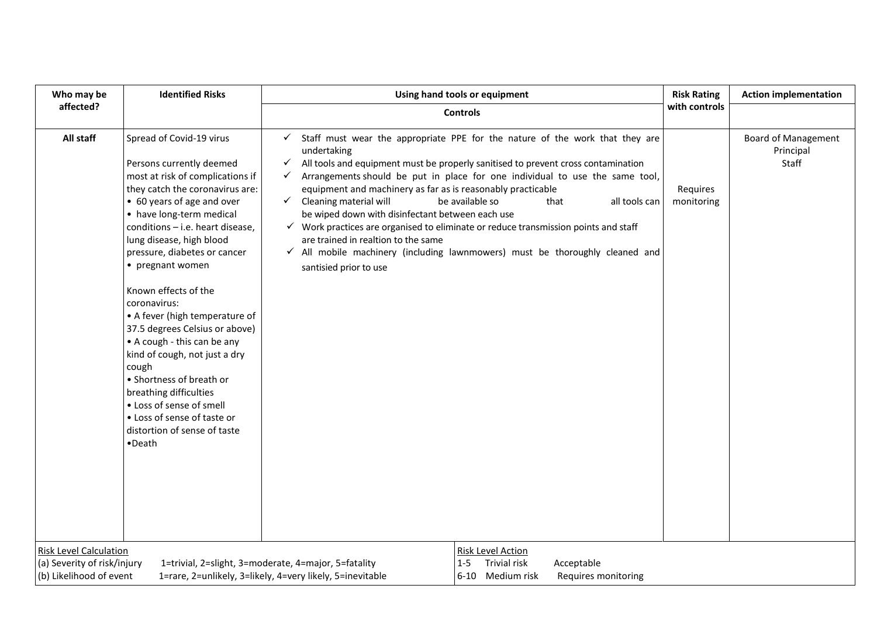| Who may be                                                   | <b>Identified Risks</b>                                                                                                                                                                                                                                                                                                                      | Using hand tools or equipment                                                                                                                                                                                                                                                                                                                                                                                                                                                                                                                                                                                                                                                                                                                               | <b>Risk Rating</b>     | <b>Action implementation</b>                     |  |  |
|--------------------------------------------------------------|----------------------------------------------------------------------------------------------------------------------------------------------------------------------------------------------------------------------------------------------------------------------------------------------------------------------------------------------|-------------------------------------------------------------------------------------------------------------------------------------------------------------------------------------------------------------------------------------------------------------------------------------------------------------------------------------------------------------------------------------------------------------------------------------------------------------------------------------------------------------------------------------------------------------------------------------------------------------------------------------------------------------------------------------------------------------------------------------------------------------|------------------------|--------------------------------------------------|--|--|
| affected?                                                    |                                                                                                                                                                                                                                                                                                                                              | with controls<br><b>Controls</b>                                                                                                                                                                                                                                                                                                                                                                                                                                                                                                                                                                                                                                                                                                                            |                        |                                                  |  |  |
| All staff                                                    | Spread of Covid-19 virus<br>Persons currently deemed<br>most at risk of complications if<br>they catch the coronavirus are:<br>• 60 years of age and over<br>• have long-term medical<br>conditions - i.e. heart disease,<br>lung disease, high blood<br>pressure, diabetes or cancer<br>• pregnant women                                    | $\checkmark$ Staff must wear the appropriate PPE for the nature of the work that they are<br>undertaking<br>All tools and equipment must be properly sanitised to prevent cross contamination<br>✓<br>Arrangements should be put in place for one individual to use the same tool,<br>$\checkmark$<br>equipment and machinery as far as is reasonably practicable<br>$\checkmark$ Cleaning material will<br>be available so<br>all tools can<br>that<br>be wiped down with disinfectant between each use<br>√ Work practices are organised to eliminate or reduce transmission points and staff<br>are trained in realtion to the same<br>$\checkmark$ All mobile machinery (including lawnmowers) must be thoroughly cleaned and<br>santisied prior to use | Requires<br>monitoring | <b>Board of Management</b><br>Principal<br>Staff |  |  |
|                                                              | Known effects of the<br>coronavirus:<br>• A fever (high temperature of<br>37.5 degrees Celsius or above)<br>• A cough - this can be any<br>kind of cough, not just a dry<br>cough<br>• Shortness of breath or<br>breathing difficulties<br>• Loss of sense of smell<br>• Loss of sense of taste or<br>distortion of sense of taste<br>•Death |                                                                                                                                                                                                                                                                                                                                                                                                                                                                                                                                                                                                                                                                                                                                                             |                        |                                                  |  |  |
| <b>Risk Level Calculation</b><br>(a) Severity of risk/injury | 1=trivial, 2=slight, 3=moderate, 4=major, 5=fatality                                                                                                                                                                                                                                                                                         | Risk Level Action<br>Trivial risk<br>$1 - 5$<br>Acceptable                                                                                                                                                                                                                                                                                                                                                                                                                                                                                                                                                                                                                                                                                                  |                        |                                                  |  |  |
| (b) Likelihood of event                                      |                                                                                                                                                                                                                                                                                                                                              | 1=rare, 2=unlikely, 3=likely, 4=very likely, 5=inevitable<br>6-10 Medium risk<br>Requires monitoring                                                                                                                                                                                                                                                                                                                                                                                                                                                                                                                                                                                                                                                        |                        |                                                  |  |  |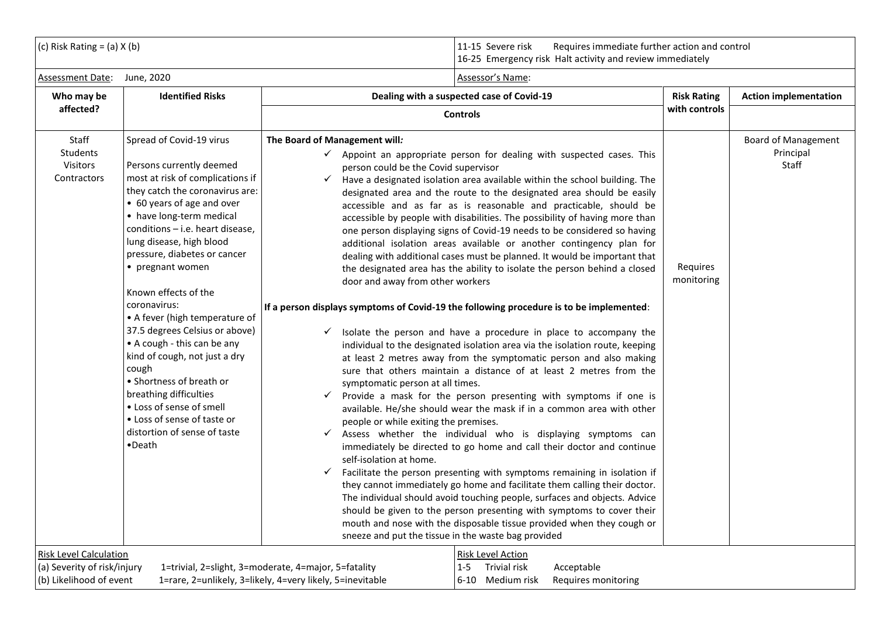| (c) Risk Rating = $(a)$ X $(b)$                                                                                                                                                                                                                                                                                                                                                                                                                                                                                                                                                                                                                                                                                                                                                                                                                  |                                                                                                                                                                                                                                                                                                                                                                                                                                                                                                                                                                                                                                                                                                                                                                                                                                                                                                                                                                                                                                                                                                                                                                                                                                                                                                                                                                                                                                                                                                                                                                                                                                                                                                                                                                                                                                                                                                                                                                                                                                                                   | 11-15 Severe risk<br>Requires immediate further action and control<br>16-25 Emergency risk Halt activity and review immediately |                                                  |  |
|--------------------------------------------------------------------------------------------------------------------------------------------------------------------------------------------------------------------------------------------------------------------------------------------------------------------------------------------------------------------------------------------------------------------------------------------------------------------------------------------------------------------------------------------------------------------------------------------------------------------------------------------------------------------------------------------------------------------------------------------------------------------------------------------------------------------------------------------------|-------------------------------------------------------------------------------------------------------------------------------------------------------------------------------------------------------------------------------------------------------------------------------------------------------------------------------------------------------------------------------------------------------------------------------------------------------------------------------------------------------------------------------------------------------------------------------------------------------------------------------------------------------------------------------------------------------------------------------------------------------------------------------------------------------------------------------------------------------------------------------------------------------------------------------------------------------------------------------------------------------------------------------------------------------------------------------------------------------------------------------------------------------------------------------------------------------------------------------------------------------------------------------------------------------------------------------------------------------------------------------------------------------------------------------------------------------------------------------------------------------------------------------------------------------------------------------------------------------------------------------------------------------------------------------------------------------------------------------------------------------------------------------------------------------------------------------------------------------------------------------------------------------------------------------------------------------------------------------------------------------------------------------------------------------------------|---------------------------------------------------------------------------------------------------------------------------------|--------------------------------------------------|--|
| Assessment Date:<br>June, 2020                                                                                                                                                                                                                                                                                                                                                                                                                                                                                                                                                                                                                                                                                                                                                                                                                   | Assessor's Name:                                                                                                                                                                                                                                                                                                                                                                                                                                                                                                                                                                                                                                                                                                                                                                                                                                                                                                                                                                                                                                                                                                                                                                                                                                                                                                                                                                                                                                                                                                                                                                                                                                                                                                                                                                                                                                                                                                                                                                                                                                                  |                                                                                                                                 |                                                  |  |
| <b>Identified Risks</b><br>Who may be                                                                                                                                                                                                                                                                                                                                                                                                                                                                                                                                                                                                                                                                                                                                                                                                            | Dealing with a suspected case of Covid-19                                                                                                                                                                                                                                                                                                                                                                                                                                                                                                                                                                                                                                                                                                                                                                                                                                                                                                                                                                                                                                                                                                                                                                                                                                                                                                                                                                                                                                                                                                                                                                                                                                                                                                                                                                                                                                                                                                                                                                                                                         | <b>Risk Rating</b>                                                                                                              | <b>Action implementation</b>                     |  |
| affected?                                                                                                                                                                                                                                                                                                                                                                                                                                                                                                                                                                                                                                                                                                                                                                                                                                        | <b>Controls</b>                                                                                                                                                                                                                                                                                                                                                                                                                                                                                                                                                                                                                                                                                                                                                                                                                                                                                                                                                                                                                                                                                                                                                                                                                                                                                                                                                                                                                                                                                                                                                                                                                                                                                                                                                                                                                                                                                                                                                                                                                                                   | with controls                                                                                                                   |                                                  |  |
| Staff<br>Spread of Covid-19 virus<br>The Board of Management will:<br><b>Students</b><br>Visitors<br>Persons currently deemed<br>Contractors<br>most at risk of complications if<br>$\checkmark$<br>they catch the coronavirus are:<br>• 60 years of age and over<br>• have long-term medical<br>conditions - i.e. heart disease.<br>lung disease, high blood<br>pressure, diabetes or cancer<br>• pregnant women<br>Known effects of the<br>coronavirus:<br>• A fever (high temperature of<br>37.5 degrees Celsius or above)<br>• A cough - this can be any<br>kind of cough, not just a dry<br>cough<br>• Shortness of breath or<br>breathing difficulties<br>$\checkmark$<br>• Loss of sense of smell<br>• Loss of sense of taste or<br>distortion of sense of taste<br>✓<br>$\bullet$ Death<br>$\checkmark$<br><b>Risk Level Calculation</b> | $\checkmark$ Appoint an appropriate person for dealing with suspected cases. This<br>person could be the Covid supervisor<br>Have a designated isolation area available within the school building. The<br>designated area and the route to the designated area should be easily<br>accessible and as far as is reasonable and practicable, should be<br>accessible by people with disabilities. The possibility of having more than<br>one person displaying signs of Covid-19 needs to be considered so having<br>additional isolation areas available or another contingency plan for<br>dealing with additional cases must be planned. It would be important that<br>the designated area has the ability to isolate the person behind a closed<br>door and away from other workers<br>If a person displays symptoms of Covid-19 the following procedure is to be implemented:<br>$\checkmark$ Isolate the person and have a procedure in place to accompany the<br>individual to the designated isolation area via the isolation route, keeping<br>at least 2 metres away from the symptomatic person and also making<br>sure that others maintain a distance of at least 2 metres from the<br>symptomatic person at all times.<br>Provide a mask for the person presenting with symptoms if one is<br>available. He/she should wear the mask if in a common area with other<br>people or while exiting the premises.<br>Assess whether the individual who is displaying symptoms can<br>immediately be directed to go home and call their doctor and continue<br>self-isolation at home.<br>Facilitate the person presenting with symptoms remaining in isolation if<br>they cannot immediately go home and facilitate them calling their doctor.<br>The individual should avoid touching people, surfaces and objects. Advice<br>should be given to the person presenting with symptoms to cover their<br>mouth and nose with the disposable tissue provided when they cough or<br>sneeze and put the tissue in the waste bag provided<br>Risk Level Action | Requires<br>monitoring                                                                                                          | <b>Board of Management</b><br>Principal<br>Staff |  |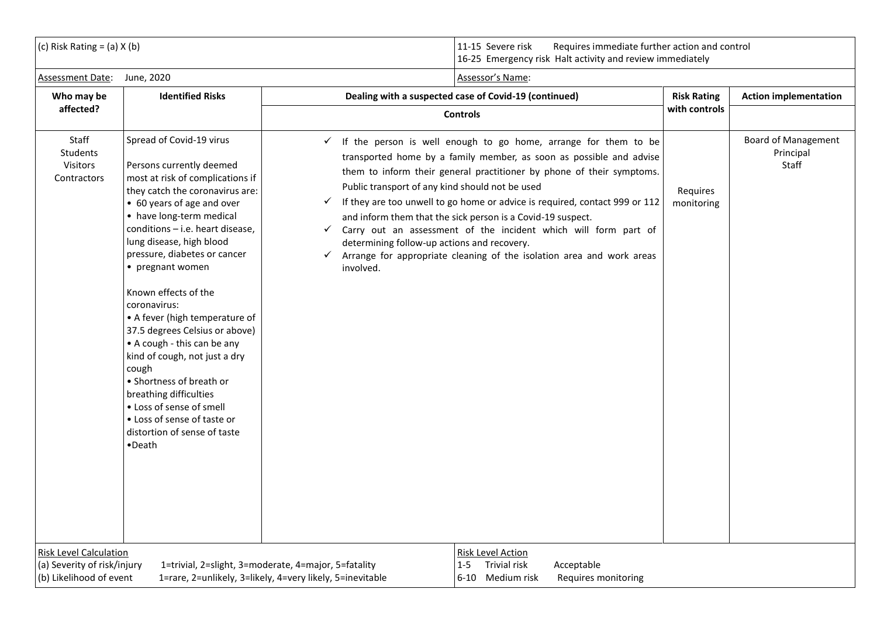(c) Risk Rating = (a) X (b)  $\vert$  11-15 Severe risk Requires immediate further action and control 16-25 Emergency risk Halt activity and review immediately

| Assessment Date:                                                                        | June, 2020                                                                                                                                                                                                                                                                                                                                                                                                                                                                                                                                                                                                                                                         | Assessor's Name:                                                                                                                                                                                                                                                                                                                                                                                                                                                                                                                                                                                                                                                                      |                        |                                           |
|-----------------------------------------------------------------------------------------|--------------------------------------------------------------------------------------------------------------------------------------------------------------------------------------------------------------------------------------------------------------------------------------------------------------------------------------------------------------------------------------------------------------------------------------------------------------------------------------------------------------------------------------------------------------------------------------------------------------------------------------------------------------------|---------------------------------------------------------------------------------------------------------------------------------------------------------------------------------------------------------------------------------------------------------------------------------------------------------------------------------------------------------------------------------------------------------------------------------------------------------------------------------------------------------------------------------------------------------------------------------------------------------------------------------------------------------------------------------------|------------------------|-------------------------------------------|
| Who may be                                                                              | <b>Identified Risks</b>                                                                                                                                                                                                                                                                                                                                                                                                                                                                                                                                                                                                                                            | Dealing with a suspected case of Covid-19 (continued)                                                                                                                                                                                                                                                                                                                                                                                                                                                                                                                                                                                                                                 | <b>Risk Rating</b>     | <b>Action implementation</b>              |
| affected?                                                                               |                                                                                                                                                                                                                                                                                                                                                                                                                                                                                                                                                                                                                                                                    | <b>Controls</b>                                                                                                                                                                                                                                                                                                                                                                                                                                                                                                                                                                                                                                                                       | with controls          |                                           |
| Staff<br>Students<br>Visitors<br>Contractors                                            | Spread of Covid-19 virus<br>Persons currently deemed<br>most at risk of complications if<br>they catch the coronavirus are:<br>• 60 years of age and over<br>• have long-term medical<br>conditions - i.e. heart disease,<br>lung disease, high blood<br>pressure, diabetes or cancer<br>• pregnant women<br>Known effects of the<br>coronavirus:<br>• A fever (high temperature of<br>37.5 degrees Celsius or above)<br>• A cough - this can be any<br>kind of cough, not just a dry<br>cough<br>• Shortness of breath or<br>breathing difficulties<br>• Loss of sense of smell<br>• Loss of sense of taste or<br>distortion of sense of taste<br>$\bullet$ Death | $\checkmark$ If the person is well enough to go home, arrange for them to be<br>transported home by a family member, as soon as possible and advise<br>them to inform their general practitioner by phone of their symptoms.<br>Public transport of any kind should not be used<br>If they are too unwell to go home or advice is required, contact 999 or 112<br>$\checkmark$<br>and inform them that the sick person is a Covid-19 suspect.<br>Carry out an assessment of the incident which will form part of<br>$\checkmark$<br>determining follow-up actions and recovery.<br>Arrange for appropriate cleaning of the isolation area and work areas<br>$\checkmark$<br>involved. | Requires<br>monitoring | Board of Management<br>Principal<br>Staff |
| <b>Risk Level Calculation</b><br>(a) Severity of risk/injury<br>(b) Likelihood of event | 1=trivial, 2=slight, 3=moderate, 4=major, 5=fatality                                                                                                                                                                                                                                                                                                                                                                                                                                                                                                                                                                                                               | Risk Level Action<br><b>Trivial risk</b><br>Acceptable<br>$1 - 5$<br>1=rare, 2=unlikely, 3=likely, 4=very likely, 5=inevitable<br>6-10 Medium risk<br>Requires monitoring                                                                                                                                                                                                                                                                                                                                                                                                                                                                                                             |                        |                                           |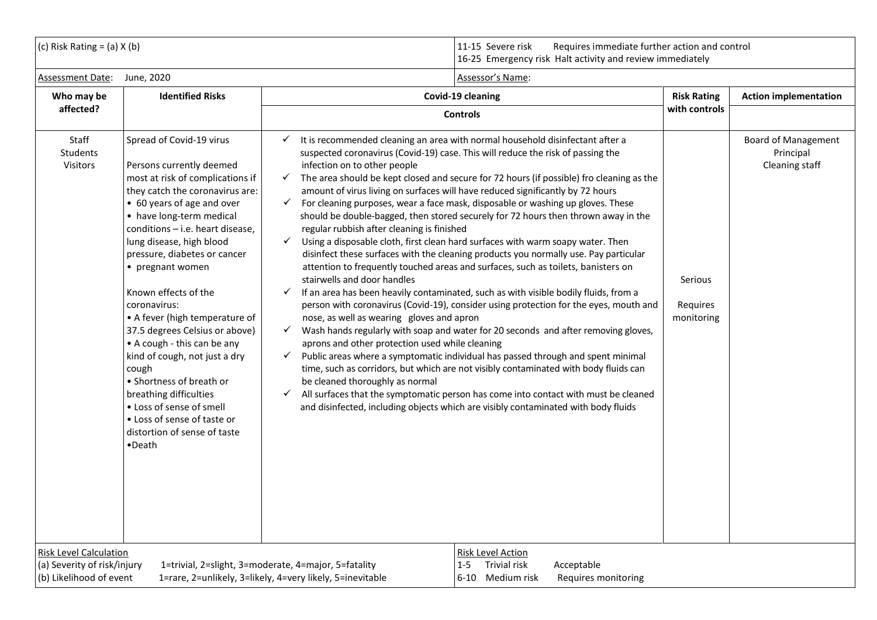| $(C)$ Risk Rating = (a) X (b) | Requires immediate further action and control<br>Severe risk<br>16-25 Emergency risk Halt activity and review immediately |
|-------------------------------|---------------------------------------------------------------------------------------------------------------------------|
|                               |                                                                                                                           |

| Assessment Date:                                                                        | June, 2020                                                                                                                                                                                                                                                                                                                                                                                                                                                                                                                                                                                                                                                | Assessor's Name:                                                                                                                                                                                                                                                                                                                                                             |                                                                                                                                                                                                                                                                                                                                                                                                                                                                                                                                                                                                                                                                                                                                                                                                                                                                                                                                                                                                                                                                                                                                                                                                                                                                                                                                                                                                                         |                                   |                                                           |
|-----------------------------------------------------------------------------------------|-----------------------------------------------------------------------------------------------------------------------------------------------------------------------------------------------------------------------------------------------------------------------------------------------------------------------------------------------------------------------------------------------------------------------------------------------------------------------------------------------------------------------------------------------------------------------------------------------------------------------------------------------------------|------------------------------------------------------------------------------------------------------------------------------------------------------------------------------------------------------------------------------------------------------------------------------------------------------------------------------------------------------------------------------|-------------------------------------------------------------------------------------------------------------------------------------------------------------------------------------------------------------------------------------------------------------------------------------------------------------------------------------------------------------------------------------------------------------------------------------------------------------------------------------------------------------------------------------------------------------------------------------------------------------------------------------------------------------------------------------------------------------------------------------------------------------------------------------------------------------------------------------------------------------------------------------------------------------------------------------------------------------------------------------------------------------------------------------------------------------------------------------------------------------------------------------------------------------------------------------------------------------------------------------------------------------------------------------------------------------------------------------------------------------------------------------------------------------------------|-----------------------------------|-----------------------------------------------------------|
| Who may be                                                                              | <b>Identified Risks</b>                                                                                                                                                                                                                                                                                                                                                                                                                                                                                                                                                                                                                                   |                                                                                                                                                                                                                                                                                                                                                                              | Covid-19 cleaning                                                                                                                                                                                                                                                                                                                                                                                                                                                                                                                                                                                                                                                                                                                                                                                                                                                                                                                                                                                                                                                                                                                                                                                                                                                                                                                                                                                                       | <b>Risk Rating</b>                | <b>Action implementation</b>                              |
| affected?                                                                               |                                                                                                                                                                                                                                                                                                                                                                                                                                                                                                                                                                                                                                                           |                                                                                                                                                                                                                                                                                                                                                                              | <b>Controls</b>                                                                                                                                                                                                                                                                                                                                                                                                                                                                                                                                                                                                                                                                                                                                                                                                                                                                                                                                                                                                                                                                                                                                                                                                                                                                                                                                                                                                         | with controls                     |                                                           |
| Staff<br>Students<br>Visitors                                                           | Spread of Covid-19 virus<br>Persons currently deemed<br>most at risk of complications if<br>they catch the coronavirus are:<br>• 60 years of age and over<br>• have long-term medical<br>conditions - i.e. heart disease,<br>lung disease, high blood<br>pressure, diabetes or cancer<br>• pregnant women<br>Known effects of the<br>coronavirus:<br>• A fever (high temperature of<br>37.5 degrees Celsius or above)<br>• A cough - this can be any<br>kind of cough, not just a dry<br>cough<br>• Shortness of breath or<br>breathing difficulties<br>• Loss of sense of smell<br>• Loss of sense of taste or<br>distortion of sense of taste<br>•Death | $\checkmark$<br>infection on to other people<br>$\checkmark$<br>$\checkmark$<br>regular rubbish after cleaning is finished<br>$\checkmark$<br>stairwells and door handles<br>$\checkmark$<br>nose, as well as wearing gloves and apron<br>$\checkmark$<br>aprons and other protection used while cleaning<br>$\checkmark$<br>be cleaned thoroughly as normal<br>$\checkmark$ | It is recommended cleaning an area with normal household disinfectant after a<br>suspected coronavirus (Covid-19) case. This will reduce the risk of passing the<br>The area should be kept closed and secure for 72 hours (if possible) fro cleaning as the<br>amount of virus living on surfaces will have reduced significantly by 72 hours<br>For cleaning purposes, wear a face mask, disposable or washing up gloves. These<br>should be double-bagged, then stored securely for 72 hours then thrown away in the<br>Using a disposable cloth, first clean hard surfaces with warm soapy water. Then<br>disinfect these surfaces with the cleaning products you normally use. Pay particular<br>attention to frequently touched areas and surfaces, such as toilets, banisters on<br>If an area has been heavily contaminated, such as with visible bodily fluids, from a<br>person with coronavirus (Covid-19), consider using protection for the eyes, mouth and<br>Wash hands regularly with soap and water for 20 seconds and after removing gloves,<br>Public areas where a symptomatic individual has passed through and spent minimal<br>time, such as corridors, but which are not visibly contaminated with body fluids can<br>All surfaces that the symptomatic person has come into contact with must be cleaned<br>and disinfected, including objects which are visibly contaminated with body fluids | Serious<br>Requires<br>monitoring | <b>Board of Management</b><br>Principal<br>Cleaning staff |
| <b>Risk Level Calculation</b><br>(a) Severity of risk/injury<br>(b) Likelihood of event | 1=trivial, 2=slight, 3=moderate, 4=major, 5=fatality                                                                                                                                                                                                                                                                                                                                                                                                                                                                                                                                                                                                      | 1=rare, 2=unlikely, 3=likely, 4=very likely, 5=inevitable                                                                                                                                                                                                                                                                                                                    | <b>Risk Level Action</b><br><b>Trivial risk</b><br>$1 - 5$<br>Acceptable<br>6-10 Medium risk<br>Requires monitoring                                                                                                                                                                                                                                                                                                                                                                                                                                                                                                                                                                                                                                                                                                                                                                                                                                                                                                                                                                                                                                                                                                                                                                                                                                                                                                     |                                   |                                                           |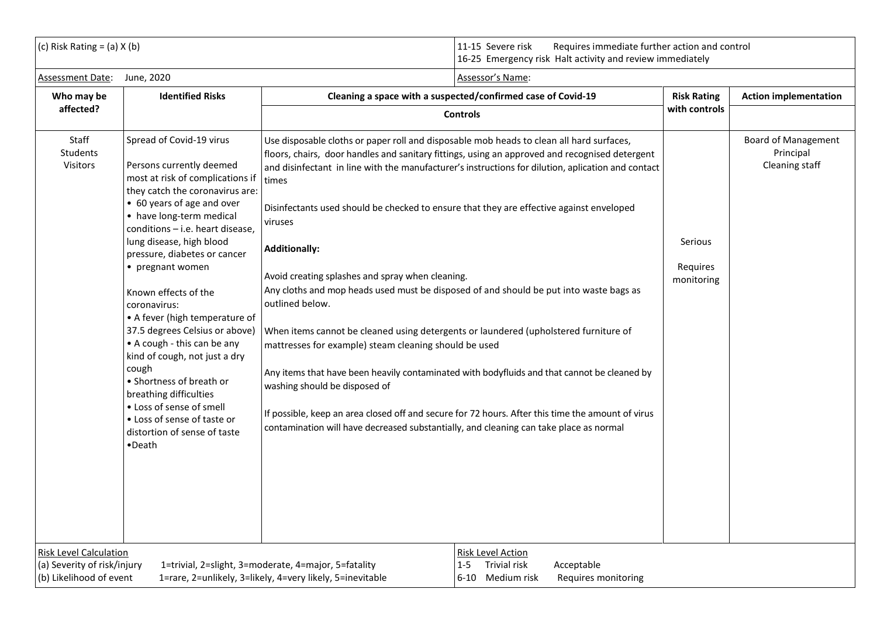| (c) Risk Rating = (a) $X$ (b) | Requires immediate further action and control<br>-Severe risk<br><sup>1</sup> 5 Emergency risk Halt activity and review immediately<br>16-25 |
|-------------------------------|----------------------------------------------------------------------------------------------------------------------------------------------|
|                               |                                                                                                                                              |

| June, 2020                                                                                                                                                                                                                                                                                                                                                                                                                                                                                                                                                                                                                                                | Assessor's Name:                                                                                                                                                                                                                                                                                                                                                                                                                                                                                                                                                                                                                                                                                                                                                                                                                                                                                                                                                                    |                                                                                                                                        |                                                                                                                                           |
|-----------------------------------------------------------------------------------------------------------------------------------------------------------------------------------------------------------------------------------------------------------------------------------------------------------------------------------------------------------------------------------------------------------------------------------------------------------------------------------------------------------------------------------------------------------------------------------------------------------------------------------------------------------|-------------------------------------------------------------------------------------------------------------------------------------------------------------------------------------------------------------------------------------------------------------------------------------------------------------------------------------------------------------------------------------------------------------------------------------------------------------------------------------------------------------------------------------------------------------------------------------------------------------------------------------------------------------------------------------------------------------------------------------------------------------------------------------------------------------------------------------------------------------------------------------------------------------------------------------------------------------------------------------|----------------------------------------------------------------------------------------------------------------------------------------|-------------------------------------------------------------------------------------------------------------------------------------------|
| <b>Identified Risks</b>                                                                                                                                                                                                                                                                                                                                                                                                                                                                                                                                                                                                                                   | Cleaning a space with a suspected/confirmed case of Covid-19                                                                                                                                                                                                                                                                                                                                                                                                                                                                                                                                                                                                                                                                                                                                                                                                                                                                                                                        |                                                                                                                                        | <b>Action implementation</b>                                                                                                              |
|                                                                                                                                                                                                                                                                                                                                                                                                                                                                                                                                                                                                                                                           | <b>Controls</b>                                                                                                                                                                                                                                                                                                                                                                                                                                                                                                                                                                                                                                                                                                                                                                                                                                                                                                                                                                     |                                                                                                                                        |                                                                                                                                           |
| Spread of Covid-19 virus<br>Persons currently deemed<br>most at risk of complications if<br>they catch the coronavirus are:<br>• 60 years of age and over<br>• have long-term medical<br>conditions - i.e. heart disease,<br>lung disease, high blood<br>pressure, diabetes or cancer<br>• pregnant women<br>Known effects of the<br>coronavirus:<br>• A fever (high temperature of<br>37.5 degrees Celsius or above)<br>• A cough - this can be any<br>kind of cough, not just a dry<br>cough<br>• Shortness of breath or<br>breathing difficulties<br>• Loss of sense of smell<br>• Loss of sense of taste or<br>distortion of sense of taste<br>•Death | Use disposable cloths or paper roll and disposable mob heads to clean all hard surfaces,<br>floors, chairs, door handles and sanitary fittings, using an approved and recognised detergent<br>times<br>Disinfectants used should be checked to ensure that they are effective against enveloped<br>viruses<br><b>Additionally:</b><br>Avoid creating splashes and spray when cleaning.<br>Any cloths and mop heads used must be disposed of and should be put into waste bags as<br>outlined below.<br>When items cannot be cleaned using detergents or laundered (upholstered furniture of<br>mattresses for example) steam cleaning should be used<br>Any items that have been heavily contaminated with bodyfluids and that cannot be cleaned by<br>washing should be disposed of<br>If possible, keep an area closed off and secure for 72 hours. After this time the amount of virus<br>contamination will have decreased substantially, and cleaning can take place as normal | Serious<br>Requires<br>monitoring                                                                                                      | <b>Board of Management</b><br>Principal<br>Cleaning staff                                                                                 |
| (a) Severity of risk/injury<br>(b) Likelihood of event                                                                                                                                                                                                                                                                                                                                                                                                                                                                                                                                                                                                    | Trivial risk<br>$1 - 5$<br>Acceptable<br>6-10 Medium risk<br>Requires monitoring                                                                                                                                                                                                                                                                                                                                                                                                                                                                                                                                                                                                                                                                                                                                                                                                                                                                                                    |                                                                                                                                        |                                                                                                                                           |
|                                                                                                                                                                                                                                                                                                                                                                                                                                                                                                                                                                                                                                                           | <b>Risk Level Calculation</b>                                                                                                                                                                                                                                                                                                                                                                                                                                                                                                                                                                                                                                                                                                                                                                                                                                                                                                                                                       | Risk Level Action<br>1=trivial, 2=slight, 3=moderate, 4=major, 5=fatality<br>1=rare, 2=unlikely, 3=likely, 4=very likely, 5=inevitable | <b>Risk Rating</b><br>with controls<br>and disinfectant in line with the manufacturer's instructions for dilution, aplication and contact |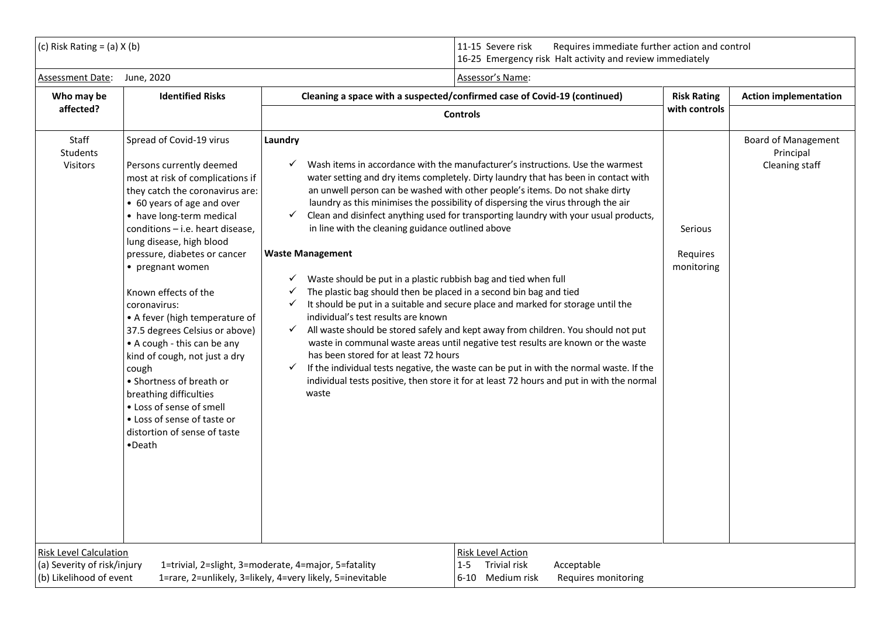(c) Risk Rating = (a) X (b)  $\vert$  11-15 Severe risk Requires immediate further action and control 16-25 Emergency risk Halt activity and review immediately

| Assessment Date:                                                                        | June, 2020                                                                                                                                                                                                                                                                                                                                                                                                                                                                                                                                                                                                                                                | Assessor's Name:                                                                                                                                                                                                                                                                                                                                                                                                                                                                                                                                                                                                                                                                                                                                                                                                                                                                                                                                                                                                                                                                                                                                                                                                                                                                                                       |                                   |                                                           |
|-----------------------------------------------------------------------------------------|-----------------------------------------------------------------------------------------------------------------------------------------------------------------------------------------------------------------------------------------------------------------------------------------------------------------------------------------------------------------------------------------------------------------------------------------------------------------------------------------------------------------------------------------------------------------------------------------------------------------------------------------------------------|------------------------------------------------------------------------------------------------------------------------------------------------------------------------------------------------------------------------------------------------------------------------------------------------------------------------------------------------------------------------------------------------------------------------------------------------------------------------------------------------------------------------------------------------------------------------------------------------------------------------------------------------------------------------------------------------------------------------------------------------------------------------------------------------------------------------------------------------------------------------------------------------------------------------------------------------------------------------------------------------------------------------------------------------------------------------------------------------------------------------------------------------------------------------------------------------------------------------------------------------------------------------------------------------------------------------|-----------------------------------|-----------------------------------------------------------|
| Who may be                                                                              | <b>Identified Risks</b>                                                                                                                                                                                                                                                                                                                                                                                                                                                                                                                                                                                                                                   | Cleaning a space with a suspected/confirmed case of Covid-19 (continued)                                                                                                                                                                                                                                                                                                                                                                                                                                                                                                                                                                                                                                                                                                                                                                                                                                                                                                                                                                                                                                                                                                                                                                                                                                               | <b>Risk Rating</b>                | <b>Action implementation</b>                              |
| affected?                                                                               |                                                                                                                                                                                                                                                                                                                                                                                                                                                                                                                                                                                                                                                           | <b>Controls</b>                                                                                                                                                                                                                                                                                                                                                                                                                                                                                                                                                                                                                                                                                                                                                                                                                                                                                                                                                                                                                                                                                                                                                                                                                                                                                                        | with controls                     |                                                           |
| Staff<br><b>Students</b><br><b>Visitors</b>                                             | Spread of Covid-19 virus<br>Persons currently deemed<br>most at risk of complications if<br>they catch the coronavirus are:<br>• 60 years of age and over<br>• have long-term medical<br>conditions - i.e. heart disease,<br>lung disease, high blood<br>pressure, diabetes or cancer<br>• pregnant women<br>Known effects of the<br>coronavirus:<br>• A fever (high temperature of<br>37.5 degrees Celsius or above)<br>• A cough - this can be any<br>kind of cough, not just a dry<br>cough<br>• Shortness of breath or<br>breathing difficulties<br>• Loss of sense of smell<br>• Loss of sense of taste or<br>distortion of sense of taste<br>•Death | Laundry<br>Wash items in accordance with the manufacturer's instructions. Use the warmest<br>✓<br>water setting and dry items completely. Dirty laundry that has been in contact with<br>an unwell person can be washed with other people's items. Do not shake dirty<br>laundry as this minimises the possibility of dispersing the virus through the air<br>Clean and disinfect anything used for transporting laundry with your usual products,<br>$\checkmark$<br>in line with the cleaning guidance outlined above<br><b>Waste Management</b><br>$\checkmark$ Waste should be put in a plastic rubbish bag and tied when full<br>The plastic bag should then be placed in a second bin bag and tied<br>$\checkmark$<br>It should be put in a suitable and secure place and marked for storage until the<br>$\checkmark$<br>individual's test results are known<br>All waste should be stored safely and kept away from children. You should not put<br>$\checkmark$<br>waste in communal waste areas until negative test results are known or the waste<br>has been stored for at least 72 hours<br>If the individual tests negative, the waste can be put in with the normal waste. If the<br>$\checkmark$<br>individual tests positive, then store it for at least 72 hours and put in with the normal<br>waste | Serious<br>Requires<br>monitoring | <b>Board of Management</b><br>Principal<br>Cleaning staff |
| <b>Risk Level Calculation</b><br>(a) Severity of risk/injury<br>(b) Likelihood of event |                                                                                                                                                                                                                                                                                                                                                                                                                                                                                                                                                                                                                                                           | <b>Risk Level Action</b><br><b>Trivial risk</b><br>1=trivial, 2=slight, 3=moderate, 4=major, 5=fatality<br>Acceptable<br>$1 - 5$<br>1=rare, 2=unlikely, 3=likely, 4=very likely, 5=inevitable<br>6-10 Medium risk<br>Requires monitoring                                                                                                                                                                                                                                                                                                                                                                                                                                                                                                                                                                                                                                                                                                                                                                                                                                                                                                                                                                                                                                                                               |                                   |                                                           |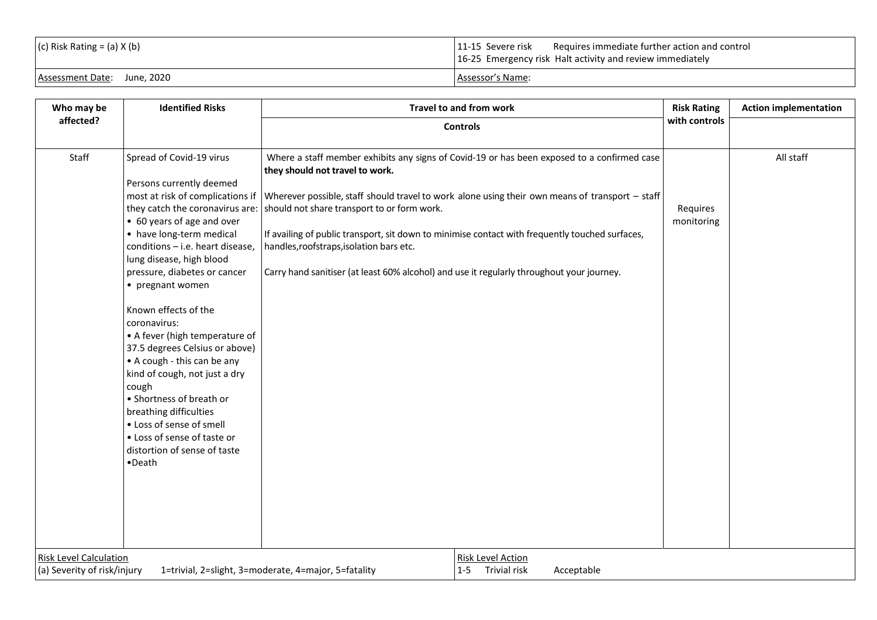| $ (c)$ Risk Rating = $(a)$ X $(b)$ | $\vert$ 11-15 Severe risk Requires immediate further action and control<br>16-25 Emergency risk Halt activity and review immediately |
|------------------------------------|--------------------------------------------------------------------------------------------------------------------------------------|
| Assessment Date: June, 2020        | Assessor's Name:                                                                                                                     |

| Who may be                                                                          | <b>Identified Risks</b>                                                                                                                                                                                                                                                                                                                                                                                                                                                                                                                                                            |                                                                                                                                                                                                                                                         | Travel to and from work                                                                                                                                                                                                                                                                                                            | <b>Risk Rating</b>     | <b>Action implementation</b> |
|-------------------------------------------------------------------------------------|------------------------------------------------------------------------------------------------------------------------------------------------------------------------------------------------------------------------------------------------------------------------------------------------------------------------------------------------------------------------------------------------------------------------------------------------------------------------------------------------------------------------------------------------------------------------------------|---------------------------------------------------------------------------------------------------------------------------------------------------------------------------------------------------------------------------------------------------------|------------------------------------------------------------------------------------------------------------------------------------------------------------------------------------------------------------------------------------------------------------------------------------------------------------------------------------|------------------------|------------------------------|
| affected?                                                                           |                                                                                                                                                                                                                                                                                                                                                                                                                                                                                                                                                                                    | <b>Controls</b>                                                                                                                                                                                                                                         |                                                                                                                                                                                                                                                                                                                                    | with controls          |                              |
| Staff                                                                               | Spread of Covid-19 virus<br>Persons currently deemed<br>• 60 years of age and over<br>• have long-term medical<br>conditions - i.e. heart disease,<br>lung disease, high blood<br>pressure, diabetes or cancer<br>• pregnant women<br>Known effects of the<br>coronavirus:<br>• A fever (high temperature of<br>37.5 degrees Celsius or above)<br>• A cough - this can be any<br>kind of cough, not just a dry<br>cough<br>• Shortness of breath or<br>breathing difficulties<br>• Loss of sense of smell<br>• Loss of sense of taste or<br>distortion of sense of taste<br>•Death | they should not travel to work.<br>they catch the coronavirus are: should not share transport to or form work.<br>handles, roofstraps, isolation bars etc.<br>Carry hand sanitiser (at least 60% alcohol) and use it regularly throughout your journey. | Where a staff member exhibits any signs of Covid-19 or has been exposed to a confirmed case<br>most at risk of complications if Wherever possible, staff should travel to work alone using their own means of transport - staff<br>If availing of public transport, sit down to minimise contact with frequently touched surfaces, | Requires<br>monitoring | All staff                    |
| <b>Risk Level Calculation</b>                                                       |                                                                                                                                                                                                                                                                                                                                                                                                                                                                                                                                                                                    |                                                                                                                                                                                                                                                         | Risk Level Action                                                                                                                                                                                                                                                                                                                  |                        |                              |
| (a) Severity of risk/injury<br>1=trivial, 2=slight, 3=moderate, 4=major, 5=fatality |                                                                                                                                                                                                                                                                                                                                                                                                                                                                                                                                                                                    |                                                                                                                                                                                                                                                         | Trivial risk<br>$1 - 5$<br>Acceptable                                                                                                                                                                                                                                                                                              |                        |                              |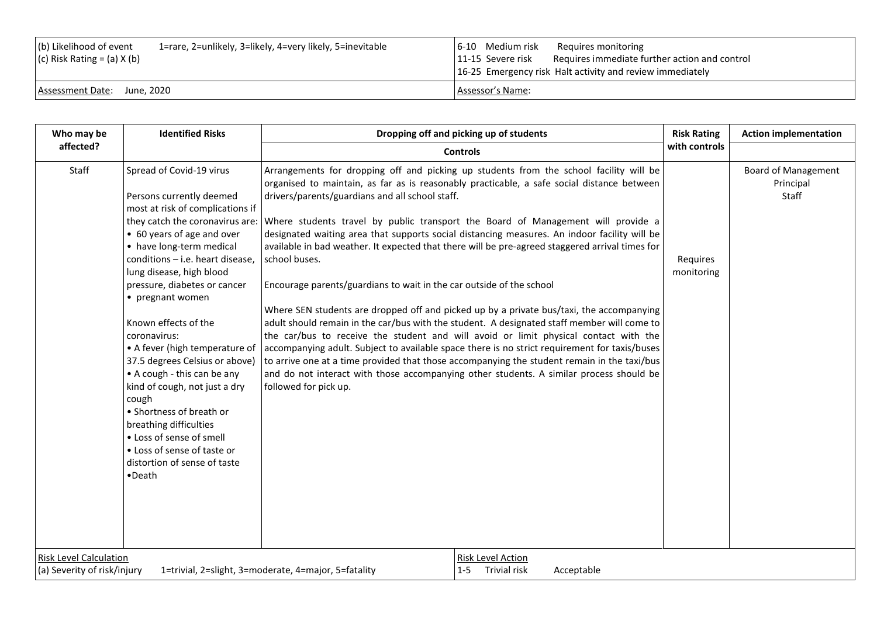| (b) Likelihood of event<br>1=rare, 2=unlikely, 3=likely, 4=very likely, 5=inevitable<br>$(c)$ Risk Rating = (a) X (b) | 6-10 Medium risk<br>Requires monitoring<br>Requires immediate further action and control<br>11-15 Severe risk<br>16-25 Emergency risk Halt activity and review immediately |
|-----------------------------------------------------------------------------------------------------------------------|----------------------------------------------------------------------------------------------------------------------------------------------------------------------------|
| Assessment Date: June, 2020                                                                                           | Assessor's Name:                                                                                                                                                           |

| Who may be                                                                                                           | <b>Identified Risks</b>                                                                                                                                                                                                                                                                                                                                                                                                                                                                                                                                                                                                                                   | Dropping off and picking up of students                                                                                                                                                                                                                                                                                                                                                                                                                                                                                                                                                                                                                                                                                                                                                                                                                                                                                                                                                                                                                                                                                                                                                                                        | <b>Risk Rating</b>     | <b>Action implementation</b>                     |
|----------------------------------------------------------------------------------------------------------------------|-----------------------------------------------------------------------------------------------------------------------------------------------------------------------------------------------------------------------------------------------------------------------------------------------------------------------------------------------------------------------------------------------------------------------------------------------------------------------------------------------------------------------------------------------------------------------------------------------------------------------------------------------------------|--------------------------------------------------------------------------------------------------------------------------------------------------------------------------------------------------------------------------------------------------------------------------------------------------------------------------------------------------------------------------------------------------------------------------------------------------------------------------------------------------------------------------------------------------------------------------------------------------------------------------------------------------------------------------------------------------------------------------------------------------------------------------------------------------------------------------------------------------------------------------------------------------------------------------------------------------------------------------------------------------------------------------------------------------------------------------------------------------------------------------------------------------------------------------------------------------------------------------------|------------------------|--------------------------------------------------|
| affected?                                                                                                            |                                                                                                                                                                                                                                                                                                                                                                                                                                                                                                                                                                                                                                                           | <b>Controls</b>                                                                                                                                                                                                                                                                                                                                                                                                                                                                                                                                                                                                                                                                                                                                                                                                                                                                                                                                                                                                                                                                                                                                                                                                                |                        |                                                  |
| Staff                                                                                                                | Spread of Covid-19 virus<br>Persons currently deemed<br>most at risk of complications if<br>they catch the coronavirus are:<br>• 60 years of age and over<br>• have long-term medical<br>conditions - i.e. heart disease,<br>lung disease, high blood<br>pressure, diabetes or cancer<br>• pregnant women<br>Known effects of the<br>coronavirus:<br>• A fever (high temperature of<br>37.5 degrees Celsius or above)<br>• A cough - this can be any<br>kind of cough, not just a dry<br>cough<br>• Shortness of breath or<br>breathing difficulties<br>• Loss of sense of smell<br>• Loss of sense of taste or<br>distortion of sense of taste<br>•Death | Arrangements for dropping off and picking up students from the school facility will be<br>organised to maintain, as far as is reasonably practicable, a safe social distance between<br>drivers/parents/guardians and all school staff.<br>Where students travel by public transport the Board of Management will provide a<br>designated waiting area that supports social distancing measures. An indoor facility will be<br>available in bad weather. It expected that there will be pre-agreed staggered arrival times for<br>school buses.<br>Encourage parents/guardians to wait in the car outside of the school<br>Where SEN students are dropped off and picked up by a private bus/taxi, the accompanying<br>adult should remain in the car/bus with the student. A designated staff member will come to<br>the car/bus to receive the student and will avoid or limit physical contact with the<br>accompanying adult. Subject to available space there is no strict requirement for taxis/buses<br>to arrive one at a time provided that those accompanying the student remain in the taxi/bus<br>and do not interact with those accompanying other students. A similar process should be<br>followed for pick up. | Requires<br>monitoring | <b>Board of Management</b><br>Principal<br>Staff |
| <b>Risk Level Calculation</b><br>(a) Severity of risk/injury<br>1=trivial, 2=slight, 3=moderate, 4=major, 5=fatality |                                                                                                                                                                                                                                                                                                                                                                                                                                                                                                                                                                                                                                                           | Risk Level Action<br>Trivial risk<br>$1 - 5$<br>Acceptable                                                                                                                                                                                                                                                                                                                                                                                                                                                                                                                                                                                                                                                                                                                                                                                                                                                                                                                                                                                                                                                                                                                                                                     |                        |                                                  |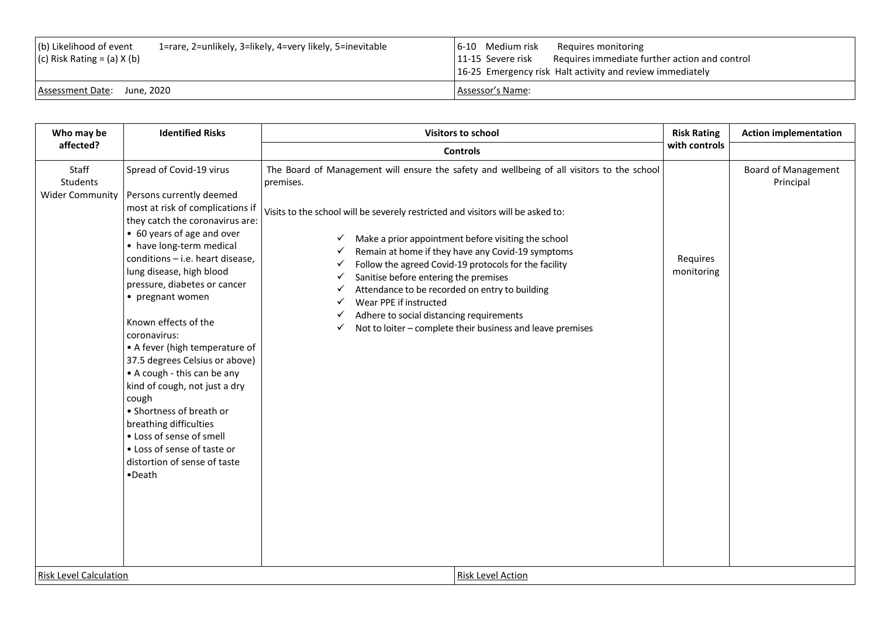| (b) Likelihood of event<br>(c) Risk Rating = (a) $X(b)$ | 1=rare, 2=unlikely, 3=likely, 4=very likely, 5=inevitable | 6-10 Medium risk<br>Requires monitoring<br>Requires immediate further action and control<br>11-15 Severe risk<br>16-25 Emergency risk Halt activity and review immediately |
|---------------------------------------------------------|-----------------------------------------------------------|----------------------------------------------------------------------------------------------------------------------------------------------------------------------------|
| Assessment Date: June, 2020                             |                                                           | Assessor's Name:                                                                                                                                                           |

| Who may be                                                                   | <b>Identified Risks</b>                                                                                                                                                                                                                                                                                                                                                                                                                                                                                                                                                                                                                                   | <b>Visitors to school</b>                                                                                                                                                                                                                                                                                                                                                                                                                                                                                                                                                                                           |                        | <b>Action implementation</b>            |
|------------------------------------------------------------------------------|-----------------------------------------------------------------------------------------------------------------------------------------------------------------------------------------------------------------------------------------------------------------------------------------------------------------------------------------------------------------------------------------------------------------------------------------------------------------------------------------------------------------------------------------------------------------------------------------------------------------------------------------------------------|---------------------------------------------------------------------------------------------------------------------------------------------------------------------------------------------------------------------------------------------------------------------------------------------------------------------------------------------------------------------------------------------------------------------------------------------------------------------------------------------------------------------------------------------------------------------------------------------------------------------|------------------------|-----------------------------------------|
| affected?                                                                    |                                                                                                                                                                                                                                                                                                                                                                                                                                                                                                                                                                                                                                                           | <b>Controls</b>                                                                                                                                                                                                                                                                                                                                                                                                                                                                                                                                                                                                     | with controls          |                                         |
| Staff<br>Students<br><b>Wider Community</b><br><b>Risk Level Calculation</b> | Spread of Covid-19 virus<br>Persons currently deemed<br>most at risk of complications if<br>they catch the coronavirus are:<br>• 60 years of age and over<br>• have long-term medical<br>conditions - i.e. heart disease,<br>lung disease, high blood<br>pressure, diabetes or cancer<br>• pregnant women<br>Known effects of the<br>coronavirus:<br>• A fever (high temperature of<br>37.5 degrees Celsius or above)<br>• A cough - this can be any<br>kind of cough, not just a dry<br>cough<br>• Shortness of breath or<br>breathing difficulties<br>• Loss of sense of smell<br>• Loss of sense of taste or<br>distortion of sense of taste<br>•Death | The Board of Management will ensure the safety and wellbeing of all visitors to the school<br>premises.<br>Visits to the school will be severely restricted and visitors will be asked to:<br>Make a prior appointment before visiting the school<br>Remain at home if they have any Covid-19 symptoms<br>Follow the agreed Covid-19 protocols for the facility<br>Sanitise before entering the premises<br>Attendance to be recorded on entry to building<br>Wear PPE if instructed<br>Adhere to social distancing requirements<br>Not to loiter - complete their business and leave premises<br>Risk Level Action | Requires<br>monitoring | <b>Board of Management</b><br>Principal |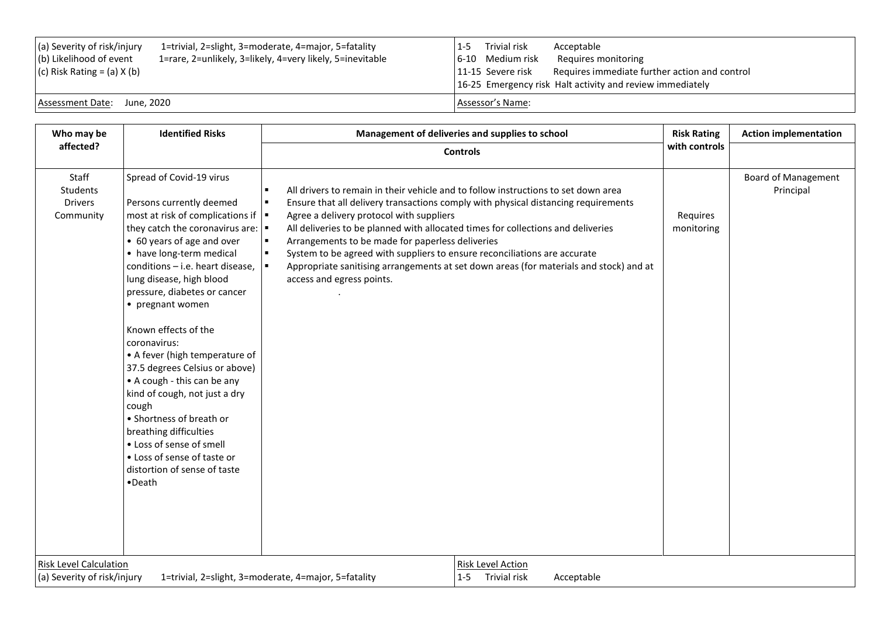| (a) Severity of risk/injury<br>(b) Likelihood of event<br>$(c)$ Risk Rating = (a) X (b) | 1=trivial, 2=slight, 3=moderate, 4=major, 5=fatality<br>1=rare, 2=unlikely, 3=likely, 4=very likely, 5=inevitable | $1 - 5$<br>6-10 Medium risk<br>11-15 Severe risk | Trivial risk | Acceptable<br>Requires monitoring<br>Requires immediate further action and control<br>16-25 Emergency risk Halt activity and review immediately |
|-----------------------------------------------------------------------------------------|-------------------------------------------------------------------------------------------------------------------|--------------------------------------------------|--------------|-------------------------------------------------------------------------------------------------------------------------------------------------|
| Assessment Date: June, 2020                                                             |                                                                                                                   | Assessor's Name:                                 |              |                                                                                                                                                 |

| Who may be                                                                                                                                                                                                                                                                                                                     | <b>Identified Risks</b>                                                                                                                                                                 |                                                                                                                                                                                                                                                                                                                                                                                  | Management of deliveries and supplies to school                                                                                                                              | <b>Risk Rating</b>     | <b>Action implementation</b>            |
|--------------------------------------------------------------------------------------------------------------------------------------------------------------------------------------------------------------------------------------------------------------------------------------------------------------------------------|-----------------------------------------------------------------------------------------------------------------------------------------------------------------------------------------|----------------------------------------------------------------------------------------------------------------------------------------------------------------------------------------------------------------------------------------------------------------------------------------------------------------------------------------------------------------------------------|------------------------------------------------------------------------------------------------------------------------------------------------------------------------------|------------------------|-----------------------------------------|
| affected?                                                                                                                                                                                                                                                                                                                      |                                                                                                                                                                                         | <b>Controls</b>                                                                                                                                                                                                                                                                                                                                                                  | with controls                                                                                                                                                                |                        |                                         |
| Staff<br>Spread of Covid-19 virus<br>Students<br>Persons currently deemed<br><b>Drivers</b><br>Community<br>• 60 years of age and over<br>• have long-term medical<br>conditions - i.e. heart disease,<br>lung disease, high blood<br>pressure, diabetes or cancer<br>• pregnant women<br>Known effects of the<br>coronavirus: | $\blacksquare$<br>$\blacksquare$<br>most at risk of complications if $\vert \bullet \vert$<br>they catch the coronavirus are: $\vert \bullet \vert$<br>$\blacksquare$<br>$\blacksquare$ | All drivers to remain in their vehicle and to follow instructions to set down area<br>Agree a delivery protocol with suppliers<br>All deliveries to be planned with allocated times for collections and deliveries<br>Arrangements to be made for paperless deliveries<br>System to be agreed with suppliers to ensure reconciliations are accurate<br>access and egress points. | Ensure that all delivery transactions comply with physical distancing requirements<br>Appropriate sanitising arrangements at set down areas (for materials and stock) and at | Requires<br>monitoring | <b>Board of Management</b><br>Principal |
| • A fever (high temperature of<br>37.5 degrees Celsius or above)<br>• A cough - this can be any<br>kind of cough, not just a dry<br>cough<br>• Shortness of breath or<br>breathing difficulties<br>• Loss of sense of smell<br>• Loss of sense of taste or<br>distortion of sense of taste<br>•Death                           |                                                                                                                                                                                         |                                                                                                                                                                                                                                                                                                                                                                                  |                                                                                                                                                                              |                        |                                         |
| <b>Risk Level Calculation</b><br>(a) Severity of risk/injury<br>1=trivial, 2=slight, 3=moderate, 4=major, 5=fatality                                                                                                                                                                                                           |                                                                                                                                                                                         | <b>Risk Level Action</b><br>1-5 Trivial risk<br>Acceptable                                                                                                                                                                                                                                                                                                                       |                                                                                                                                                                              |                        |                                         |